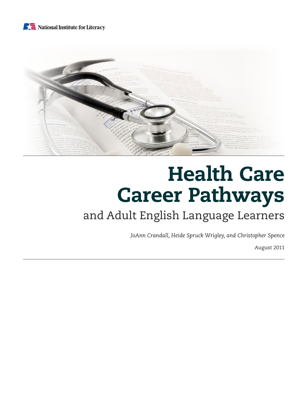# National Institute for Literacy



# Health Care Career Pathways

# and Adult English Language Learners

*JoAnn Crandall, Heide Spruck Wrigley, and Christopher Spence* 

August 2011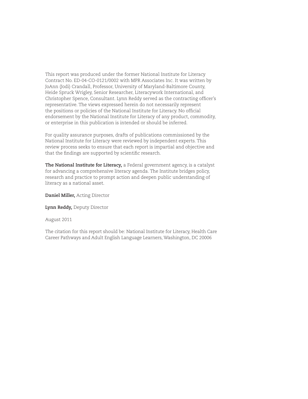This report was produced under the former National Institute for Literacy Contract No. ED-04-CO-0121/0002 with MPR Associates Inc. It was written by JoAnn (Jodi) Crandall, Professor, University of Maryland-Baltimore County, Heide Spruck Wrigley, Senior Researcher, Literacywork International, and Christopher Spence, Consultant. Lynn Reddy served as the contracting officer's representative. The views expressed herein do not necessarily represent the positions or policies of the National Institute for Literacy. No official endorsement by the National Institute for Literacy of any product, commodity, or enterprise in this publication is intended or should be inferred.

For quality assurance purposes, drafts of publications commissioned by the National Institute for Literacy were reviewed by independent experts. This review process seeks to ensure that each report is impartial and objective and that the findings are supported by scientific research.

**The National Institute for Literacy,** a Federal government agency, is a catalyst for advancing a comprehensive literacy agenda. The Institute bridges policy, research and practice to prompt action and deepen public understanding of literacy as a national asset.

**Daniel Miller,** Acting Director

**Lynn Reddy,** Deputy Director

August 2011

The citation for this report should be: National Institute for Literacy, Health Care Career Pathways and Adult English Language Learners, Washington, DC 20006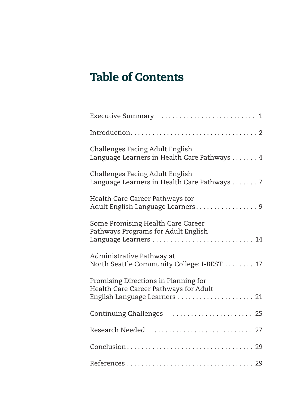# Table of Contents

| Challenges Facing Adult English<br>Language Learners in Health Care Pathways 4                                 |
|----------------------------------------------------------------------------------------------------------------|
| Challenges Facing Adult English<br>Language Learners in Health Care Pathways 7                                 |
| Health Care Career Pathways for<br>Adult English Language Learners 9                                           |
| Some Promising Health Care Career<br>Pathways Programs for Adult English                                       |
| Administrative Pathway at<br>North Seattle Community College: I-BEST  17                                       |
| Promising Directions in Planning for<br>Health Care Career Pathways for Adult<br>English Language Learners  21 |
| Continuing Challenges                                                                                          |
| Research Needed                                                                                                |
|                                                                                                                |
|                                                                                                                |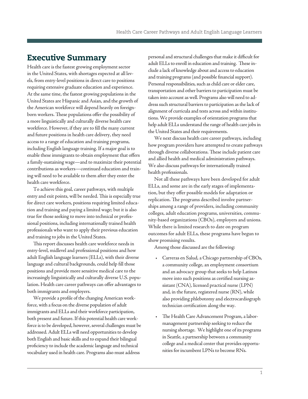# <span id="page-3-0"></span>Executive Summary

Health care is the fastest growing employment sector in the United States, with shortages expected at all levels, from entry-level positions in direct care to positions requiring extensive graduate education and experience. At the same time, the fastest growing populations in the United States are Hispanic and Asian, and the growth of the American workforce will depend heavily on foreignborn workers. These populations offer the possibility of a more linguistically and culturally diverse health care workforce. However, if they are to fill the many current and future positions in health care delivery, they need access to a range of education and training programs, including English language training. If a major goal is to enable these immigrants to obtain employment that offers a family-sustaining wage—and to maximize their potential contributions as workers—continued education and training will need to be available to them after they enter the health care workforce.

To achieve this goal, career pathways, with multiple entry and exit points, will be needed. This is especially true for direct care workers, positions requiring limited education and training and paying a limited wage; but it is also true for those seeking to move into technical or professional positions, including internationally trained health professionals who want to apply their previous education and training to jobs in the United States.

This report discusses health care workforce needs in entry-level, midlevel and professional positions and how adult English language learners (ELLs), with their diverse language and cultural backgrounds, could help fill those positions and provide more sensitive medical care to the increasingly linguistically and culturally diverse U.S. population. Health care career pathways can offer advantages to both immigrants and employers.

We provide a profile of the changing American workforce, with a focus on the diverse population of adult immigrants and ELLs and their workforce participation, both present and future. If this potential health care workforce is to be developed, however, several challenges must be addressed. Adult ELLs will need opportunities to develop both English and basic skills and to expand their bilingual proficiency to include the academic language and technical vocabulary used in health care. Programs also must address

personal and structural challenges that make it difficult for adult ELLs to enroll in education and training. These include a lack of knowledge about and access to education and training programs (and possible financial support). Personal responsibilities, such as child care or elder care, transportation and other barriers to participation must be taken into account as well. Programs also will need to address such structural barriers to participation as the lack of alignment of curricula and tests across and within institutions. We provide examples of orientation programs that help adult ELLs understand the range of health care jobs in the United States and their requirements.

We next discuss health care career pathways, including how program providers have attempted to create pathways through diverse collaborations. These include patient care and allied health and medical administration pathways. We also discuss pathways for internationally trained health professionals.

Not all these pathways have been developed for adult ELLs, and some are in the early stages of implementation, but they offer possible models for adaptation or replication. The programs described involve partnerships among a range of providers, including community colleges, adult education programs, universities, community-based organizations (CBOs), employers and unions. While there is limited research to date on program outcomes for adult ELLs, these programs have begun to show promising results.

Among those discussed are the following:

- • Carreras en Salud, a Chicago partnership of CBOs, a community college, an employment consortium and an advocacy group that seeks to help Latinos move into such positions as certified nursing assistant (CNA), licensed practical nurse (LPN) and, in the future, registered nurse (RN), while also providing phlebotomy and electrocardiograph technician certification along the way.
- The Health Care Advancement Program, a labormanagement partnership seeking to reduce the nursing shortage. We highlight one of its programs in Seattle, a partnership between a community college and a medical center that provides opportunities for incumbent LPNs to become RNs.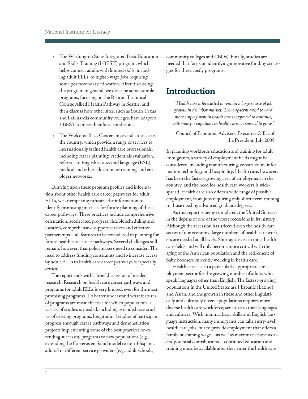- <span id="page-4-0"></span>• The Washington State Integrated Basic Education and Skills Training (I-BEST) program, which helps connect adults with limited skills, including adult ELLs, to higher-wage jobs requiring some postsecondary education. After discussing the program in general, we describe some sample programs, focusing on the Renton Technical College Allied Health Pathway in Seattle, and then discuss how other sites, such as South Texas and LaGuardia community colleges, have adapted I-BEST to meet their local conditions.
- The Welcome Back Centers in several cities across the country, which provide a range of services to internationally trained health care professionals, including career planning, credentials evaluation, referrals to English as a second language (ESL) medical and other education or training, and employer networks.

Drawing upon these program profiles and information about other health care career pathways for adult ELLs, we attempt to synthesize the information to identify promising practices for future planning of these career pathways. These practices include comprehensive orientation, accelerated progress, flexible scheduling and location, comprehensive support services and effective partnerships—all features to be considered in planning for future health care career pathways. Several challenges still remain, however, that policymakers need to consider. The need to address funding constraints and to increase access by adult ELLs to health care career pathways is especially critical.

The report ends with a brief discussion of needed research. Research on health care career pathways and programs for adult ELLs is very limited, even for the most promising programs. To better understand what features of programs are most effective for which populations, a variety of studies is needed, including extended case studies of existing programs, longitudinal studies of participant progress through career pathways and demonstration projects implementing some of the best practices or extending successful programs to new populations (e.g., extending the Carreras en Salud model to non-Hispanic adults) or different service providers (e.g., adult schools,

community colleges and CBOs). Finally, studies are needed that focus on identifying innovative funding strategies for these costly programs.

# Introduction

*"Health care is forecasted to remain a large source of job growth in the labor market. The long-term trend toward more employment in health care is expected to continue, with many occupations in health care…expected to grow."* 

Council of Economic Advisers, Executive Office of the President, July 2009

In planning workforce education and training for adult immigrants, a variety of employment fields might be considered, including manufacturing, construction, information technology and hospitality. Health care, however, has been the fastest-growing area of employment in the country, and the need for health care workers is widespread. Health care also offers a wide range of possible employment, from jobs requiring only short-term training to those needing advanced graduate degrees.

As this report is being completed, the United States is in the depths of one of the worst recessions in its history. Although the recession has affected even the health care sector of our economy, large numbers of health care workers are needed at all levels. Shortages exist in most health care fields and will only become more critical with the aging of the American population and the retirement of baby boomers currently working in health care.

Health care is also a particularly appropriate employment sector for the growing number of adults who speak languages other than English. The fastest-growing populations in the United States are Hispanic (Latino) and Asian, and the growth in these and other linguistically and culturally diverse populations requires more diverse health care workforce, sensitive to their languages and cultures. With minimal basic skills and English language instruction, many immigrants can take entry-level health care jobs, but to provide employment that offers a family-sustaining wage—as well as maximizes these workers' potential contributions—continued education and training must be available after they enter the health care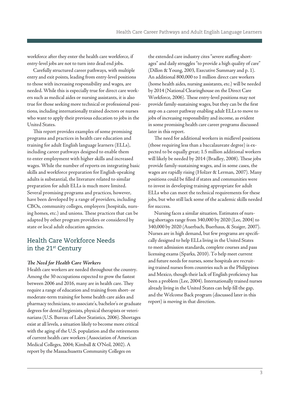workforce after they enter the health care workforce, if entry-level jobs are not to turn into dead end jobs.

Carefully structured career pathways, with multiple entry and exit points, leading from entry-level positions to those with increasing responsibility and wages, are needed. While this is especially true for direct care workers such as medical aides or nursing assistants, it is also true for those seeking more technical or professional positions, including internationally trained doctors or nurses who want to apply their previous education to jobs in the United States.

This report provides examples of some promising programs and practices in health care education and training for adult English language learners (ELLs), including career pathways designed to enable them to enter employment with higher skills and increased wages. While the number of reports on integrating basic skills and workforce preparation for English-speaking adults is substantial, the literature related to similar preparation for adult ELLs is much more limited. Several promising programs and practices, however, have been developed by a range of providers, including CBOs, community colleges, employers (hospitals, nursing homes, etc.) and unions. These practices that can be adapted by other program providers or considered by state or local adult education agencies.

# Health Care Workforce Needs in the 21st Century

#### *The Need for Health Care Workers*

Health care workers are needed throughout the country. Among the 30 occupations expected to grow the fastest between 2006 and 2016, many are in health care. They require a range of education and training from short- or moderate-term training for home health care aides and pharmacy technicians, to associate's, bachelor's or graduate degrees for dental hygienists, physical therapists or veterinarians (U.S. Bureau of Labor Statistics, 2006). Shortages exist at all levels, a situation likely to become more critical with the aging of the U.S. population and the retirements of current health care workers (Association of American Medical Colleges, 2004; Kimball & O'Neil, 2002). A report by the Massachusetts Community Colleges on

the extended care industry cites "severe staffing shortages" and daily struggles "to provide a high quality of care" (Dillon & Young, 2003, Executive Summary and p. 1). An additional 800,000 to 1 million direct care workers (home health aides, nursing assistants, etc.) will be needed by 2014 (National Clearinghouse on the Direct Care Workforce, 2006). These entry-level positions may not provide family-sustaining wages, but they can be the first step on a career pathway enabling adult ELLs to move to jobs of increasing responsibility and income, as evident in some promising health care career programs discussed later in this report.

The need for additional workers in midlevel positions (those requiring less than a baccalaureate degree) is expected to be equally great; 1.5 million additional workers will likely be needed by 2014 (Bradley, 2008). These jobs provide family-sustaining wages, and in some cases, the wages are rapidly rising (Holzer & Lerman, 2007). Many positions could be filled if states and communities were to invest in developing training appropriate for adult ELLs who can meet the technical requirements for these jobs, but who still lack some of the academic skills needed for success.

Nursing faces a similar situation. Estimates of nursing shortages range from 340,000 by 2020 (Lee, 2004) to 340,000 by 2020 (Auerbach, Buerhaus, & Staiger, 2007). Nurses are in high demand, but few programs are specifically designed to help ELLs living in the United States to meet admission standards, complete courses and pass licensing exams (Sparks, 2010). To help meet current and future needs for nurses, some hospitals are recruiting trained nurses from countries such as the Philippines and Mexico, though their lack of English proficiency has been a problem (Lee, 2004). Internationally trained nurses already living in the United States can help fill the gap, and the Welcome Back program (discussed later in this report) is moving in that direction.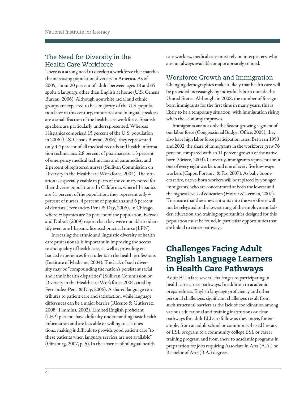# <span id="page-6-0"></span>The Need for Diversity in the Health Care Workforce

There is a strong need to develop a workforce that matches the increasing population diversity in America. As of 2005, about 20 percent of adults between ages 18 and 65 spoke a language other than English at home (U.S. Census Bureau, 2006). Although nonwhite racial and ethnic groups are expected to be a majority of the U.S. population later in this century, minorities and bilingual speakers are a small fraction of the health care workforce. Spanish speakers are particularly underrepresented. Whereas Hispanics comprised 15 percent of the U.S. population in 2006 (U.S. Census Bureau, 2006), they represented only 4.4 percent of all medical records and health information technicians, 2.8 percent of pharmacists, 1.3 percent of emergency medical technicians and paramedics, and 2 percent of registered nurses (Sullivan Commission on Diversity in the Healthcare Workforce, 2004). The situation is especially visible in parts of the country noted for their diverse populations. In California, where Hispanics are 31 percent of the population, they represent only 4 percent of nurses, 4 percent of physicians and 6 percent of dentists (Fernandez-Pena & Day, 2006). In Chicago, where Hispanics are 25 percent of the population, Estrada and Dubois (2009) report that they were not able to identify even one Hispanic licensed practical nurse (LPN).

Increasing the ethnic and linguistic diversity of health care professionals is important in improving the access to and quality of health care, as well as providing enhanced experiences for students in the health professions (Institute of Medicine, 2004). The lack of such diversity may be "compounding the nation's persistent racial and ethnic health disparities" (Sullivan Commission on Diversity in the Healthcare Workforce, 2004, cited by Fernandez-Pena & Day, 2006). A shared language contributes to patient care and satisfaction, while language differences can be a major barrier (Ricento & Gutierrez, 2008; Timmins, 2002). Limited English proficient (LEP) patients have difficulty understanding basic health information and are less able or willing to ask questions, making it difficult to provide good patient care "to these patients when language services are not available" (Ginsburg, 2007, p. 5). In the absence of bilingual health

care workers, medical care must rely on interpreters, who are not always available or appropriately trained.

# Workforce Growth and Immigration

Changing demographics make it likely that health care will be provided increasingly by individuals born outside the United States. Although, in 2008, the number of foreignborn immigrants for the first time in many years, this is likely to be a temporary situation, with immigration rising when the economy improves.

Immigrants are not only the fastest-growing segment of our labor force (Congressional Budget Office, 2005), they also have high labor force participation rates. Between 1990 and 2002, the share of immigrants in the workforce grew 76 percent, compared with an 11 percent growth of the native born (Grieco, 2004). Currently, immigrants represent about one of every eight workers and one of every five low-wage workers (Capps, Fortuny, & Fix, 2007). As baby boomers retire, native-born workers will be replaced by younger immigrants, who are concentrated at both the lowest and the highest levels of education (Holzer & Lerman, 2007). To ensure that these new entrants into the workforce will not be relegated to the lowest rung of the employment ladder, education and training opportunities designed for this population must be found, in particular opportunities that are linked to career pathways.

# Challenges Facing Adult English Language Learners in Health Care Pathways

Adult ELLs face several challenges to participating in health care career pathways. In addition to academic preparedness, English language proficiency and other personal challenges, significant challenges result from such structural barriers as the lack of coordination among various educational and training institutions or clear pathways for adult ELLs to follow as they move, for example, from an adult school or community-based literacy or ESL program to a community college ESL or career training program and from there to academic programs in preparation for jobs requiring Associate in Arts (A.A.) or Bachelor of Arts (B.A.) degrees.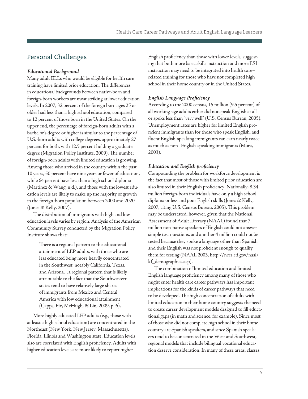# Personal Challenges

#### *Educational Background*

Many adult ELLs who would be eligible for health care training have limited prior education. The differences in educational backgrounds between native-born and foreign-born workers are most striking at lower education levels. In 2007, 32 percent of the foreign born ages 25 or older had less than a high school education, compared to 12 percent of those born in the United States. On the upper end, the percentage of foreign-born adults with a bachelor's degree or higher is similar to the percentage of U.S.-born adults with college degrees, approximately 27 percent for both, with 12.5 percent holding a graduate degree (Migration Policy Institute, 2009). The number of foreign-born adults with limited education is growing. Among those who arrived in the country within the past 10 years, 50 percent have nine years or fewer of education, while 64 percent have less than a high school diploma (Martinez & Wang, n.d.), and those with the lowest education levels are likely to make up the majority of growth in the foreign-born population between 2000 and 2020 (Jones & Kelly, 2007).

The distribution of immigrants with high and low education levels varies by region. Analysis of the American Community Survey conducted by the Migration Policy Institute shows that:

> There is a regional pattern to the educational attainment of LEP adults, with those who are less educated being more heavily concentrated in the Southwest, notably California, Texas, and Arizona…a regional pattern that is likely attributable to the fact that the Southwestern states tend to have relatively large shares of immigrants from Mexico and Central America with low educational attainment (Capps, Fix, McHugh, & Lin, 2009, p. 6).

More highly educated LEP adults (e.g., those with at least a high school education) are concentrated in the Northeast (New York, New Jersey, Massachusetts), Florida, Illinois and Washington state. Education levels also are correlated with English proficiency. Adults with higher education levels are more likely to report higher

English proficiency than those with lower levels, suggesting that both more basic skills instruction and more ESL instruction may need to be integrated into health care– related training for those who have not completed high school in their home country or in the United States.

#### *English Language Proficiency*

According to the 2000 census, 15 million (9.5 percent) of all working-age adults either did not speak English at all or spoke less than "very well" (U.S. Census Bureau, 2005). Unemployment rates are higher for limited English proficient immigrants than for those who speak English, and fluent English-speaking immigrants can earn nearly twice as much as non–English-speaking immigrants (Mora, 2003).

#### *Education and English proficiency*

Compounding the problem for workforce development is the fact that most of those with limited prior education are also limited in their English proficiency. Nationally, 8.34 million foreign-born individuals have only a high school diploma or less and poor English skills (Jones & Kelly, 2007, citing U.S. Census Bureau, 2005). This problem may be understated, however, given that the National Assessment of Adult Literacy (NAAL) found that 7 million non-native speakers of English could not answer simple test questions, and another 4 million could not be tested because they spoke a language other than Spanish and their English was not proficient enough to qualify them for testing (NAAL 2003, [http://nces.ed.gov/naal/](http://nces.ed.gov/naal/kf_demographics.asp)  kf demographics.asp).

The combination of limited education and limited English language proficiency among many of those who might enter health care career pathways has important implications for the kinds of career pathways that need to be developed. The high concentration of adults with limited education in their home country suggests the need to create career development models designed to fill educational gaps (in math and science, for example). Since most of those who did not complete high school in their home country are Spanish speakers, and since Spanish speakers tend to be concentrated in the West and Southwest, regional models that include bilingual vocational education deserve consideration. In many of these areas, classes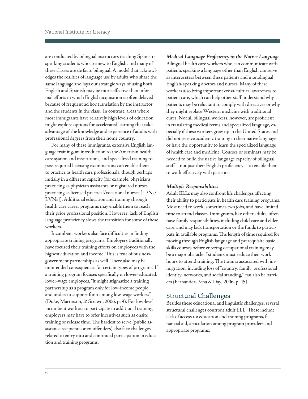are conducted by bilingual instructors teaching Spanishspeaking students who are new to English, and many of these classes are de facto bilingual. A model that acknowledges the realities of language use by adults who share the same language and lays out strategic ways of using both English and Spanish may be more effective than informal efforts in which English acquisition is often delayed because of frequent ad hoc translation by the instructor and the students in the class. In contrast, areas where most immigrants have relatively high levels of education might explore options for accelerated learning that take advantage of the knowledge and experience of adults with professional degrees from their home country.

For many of these immigrants, extensive English language training, an introduction to the American health care system and institutions, and specialized training to pass required licensing examinations can enable them to practice as health care professionals, though perhaps initially in a different capacity (for example, physicians practicing as physician assistants or registered nurses practicing as licensed practical/vocational nurses [LPNs/ LVNs]). Additional education and training through health care career programs may enable them to reach their prior professional position. However, lack of English language proficiency slows the transition for some of these workers.

Incumbent workers also face difficulties in finding appropriate training programs. Employers traditionally have focused their training efforts on employees with the highest education and income. This is true of businessgovernment partnerships as well. There also may be unintended consequences for certain types of programs. If a training program focuses specifically on lower-educated, lower-wage employees, "it might stigmatize a training partnership as a program only for low-income people and undercut support for it among low-wage workers" (Duke, Martinson, & Strawn, 2006, p. 9). For low-level incumbent workers to participate in additional training, employers may have to offer incentives such as onsite training or release time. The hardest to serve (public assistance recipients or ex-offenders) also face challenges related to entry into and continued participation in education and training programs.

*Medical Language Proficiency in the Native Language*  Bilingual health care workers who can communicate with patients speaking a language other than English can serve as interpreters between these patients and monolingual English-speaking doctors and nurses. Many of these workers also bring important cross-cultural awareness to patient care, which can help other staff understand why patients may be reluctant to comply with directives or why they might replace Western medicine with traditional cures. Not all bilingual workers, however, are proficient in translating medical terms and specialized language, especially if these workers grew up in the United States and did not receive academic training in their native language or have the opportunity to learn the specialized language of health care and medicine. Courses or seminars may be needed to build the native language capacity of bilingual staff—not just their English proficiency—to enable them to work effectively with patients.

#### *Multiple Responsibilities*

Adult ELLs may also confront life challenges affecting their ability to participate in health care training programs. Most need to work, sometimes two jobs, and have limited time to attend classes. Immigrants, like other adults, often have family responsibilities, including child care and elder care, and may lack transportation or the funds to participate in available programs. The length of time required for moving through English language and prerequisite basic skills courses before entering occupational training may be a major obstacle if students must reduce their work hours to attend training. The trauma associated with immigration, including loss of "country, family, professional identity, networks, and social standing," can also be barriers (Fernandez-Pena & Day, 2006, p. 45).

#### Structural Challenges

Besides these educational and linguistic challenges, several structural challenges confront adult ELL. These include lack of access to: education and training programs, financial aid, articulation among program providers and appropriate programs.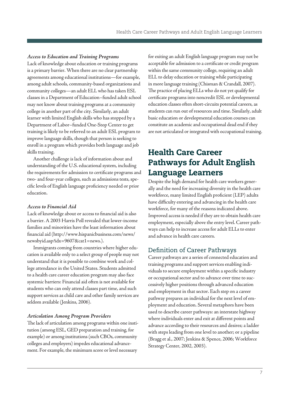#### <span id="page-9-0"></span>*Access to Education and Training Programs*

Lack of knowledge about education or training programs is a primary barrier. When there are no clear partnership agreements among educational institutions—for example, among adult schools, community-based organizations and community colleges—an adult ELL who has taken ESL classes in a Department of Education–funded adult school may not know about training programs at a community college in another part of the city. Similarly, an adult learner with limited English skills who has stopped by a Department of Labor–funded One-Stop Center to get training is likely to be referred to an adult ESL program to improve language skills, though that person is seeking to enroll in a program which provides both language and job skills training.

Another challenge is lack of information about and understanding of the U.S. educational system, including the requirements for admission to certificate programs and two- and four-year colleges, such as admissions tests, specific levels of English language proficiency needed or prior education.

#### *Access to Financial Aid*

Lack of knowledge about or access to financial aid is also a barrier. A 2003 Harris Poll revealed that lower-income families and minorities have the least information about financial aid [\(http://www.hispanicbusiness.com/news/](http://www.hispanicbusiness.com/news/newsbyid.asp?idx=9607&cat1=news)  [newsbyid.asp?idx=9607&cat1=news.\).](http://www.hispanicbusiness.com/news/newsbyid.asp?idx=9607&cat1=news) 

Immigrants coming from countries where higher education is available only to a select group of people may not understand that it is possible to combine work and college attendance in the United States. Students admitted to a health care career education program may also face systemic barriers: Financial aid often is not available for students who can only attend classes part time, and such support services as child care and other family services are seldom available (Jenkins, 2006).

#### *Articulation Among Program Providers*

The lack of articulation among programs within one institution (among ESL, GED preparation and training, for example) or among institutions (such CBOs, community colleges and employers) impedes educational advancement. For example, the minimum score or level necessary

for exiting an adult English language program may not be acceptable for admission to a certificate or credit program within the same community college, requiring an adult ELL to delay education or training while participating in more language training (Chisman & Crandall, 2007). The practice of placing ELLs who do not yet qualify for certificate programs into noncredit ESL or developmental education classes often short-circuits potential careers, as students can run out of resources and time. Similarly, adult basic education or developmental education courses can constitute an academic and occupational dead end if they are not articulated or integrated with occupational training.

# Health Care Career Pathways for Adult English Language Learners

Despite the high demand for health care workers generally and the need for increasing diversity in the health care workforce, many limited English proficient (LEP) adults have difficulty entering and advancing in the health care workforce, for many of the reasons indicated above. Improved access is needed if they are to obtain health care employment, especially above the entry level. Career pathways can help to increase access for adult ELLs to enter and advance in health care careers.

### Definition of Career Pathways

Career pathways are a series of connected education and training programs and support services enabling individuals to secure employment within a specific industry or occupational sector and to advance over time to successively higher positions through advanced education and employment in that sector. Each step on a career pathway prepares an individual for the next level of employment and education. Several metaphors have been used to describe career pathways: an interstate highway where individuals enter and exit at different points and advance according to their resources and desires; a ladder with steps leading from one level to another; or a pipeline (Bragg et al., 2007; Jenkins & Spence, 2006; Workforce Strategy Center, 2002, 2003).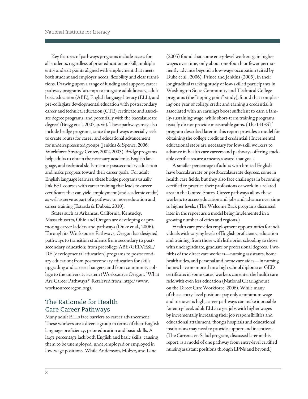and make progress toward their career goals. For adult Key features of pathways programs include access for all students, regardless of prior education or skill; multiple entry and exit points aligned with employment that meets both student and employer needs; flexibility and clear transitions. Drawing upon a range of funding and support, career pathway programs "attempt to integrate adult literacy, adult basic education (ABE), English language literacy (ELL), and pre-collegiate developmental education with postsecondary career and technical education (CTE) certificate and associate degree programs, and potentially with the baccalaureate degree" (Bragg et al., 2007, p. vii). These pathways may also include bridge programs, since the pathways especially seek to create routes for career and educational advancement for underrepresented groups (Jenkins & Spence, 2006; Workforce Strategy Center, 2002, 2003). Bridge programs help adults to obtain the necessary academic, English language, and technical skills to enter postsecondary education English language learners, these bridge programs usually link ESL courses with career training that leads to career certificates that can yield employment (and academic credit) as well as serve as part of a pathway to more education and career training (Estrada & Dubois, 2010).

States such as Arkansas, California, Kentucky, Massachusetts, Ohio and Oregon are developing or promoting career ladders and pathways (Duke et al., 2006). Through its Worksource Pathways, Oregon has designed pathways to transition students from secondary to postsecondary education; from precollege ABE/GED/ESL/ DE (developmental education) programs to postsecondary education; from postsecondary education for skills upgrading and career changers; and from community college to the university system (Worksource Oregon, "What Are Career Pathways?" Retrieved from: [http://www.](http://www.worksourceoregon.org/index.php/career-pathways/128-what-are-career-pathways)  worksourceoregon.org).

### The Rationale for Health Care Career Pathways

Many adult ELLs face barriers to career advancement. These workers are a diverse group in terms of their English language proficiency, prior education and basic skills. A large percentage lack both English and basic skills, causing them to be unemployed, underemployed or employed in low-wage positions. While Andersson, Holzer, and Lane

(2005) found that some entry-level workers gain higher wages over time, only about one-fourth or fewer permanently advance beyond a low-wage occupation (cited by Duke et al., 2006). Prince and Jenkins (2005), in their longitudinal tracking study of low-skilled participants in Washington State Community and Technical College programs (the "tipping point" study), found that completing one year of college credit and earning a credential is associated with an earnings boost sufficient to earn a family-sustaining wage, while short-term training programs usually do not provide measurable gains. (The I-BEST program described later in this report provides a model for obtaining the college credit and credential.) Incremental educational steps are necessary for low-skill workers to advance in health care careers and pathways offering stackable certificates are a means toward that goal.

 area in the United States. Career pathways allow these A smaller percentage of adults with limited English have baccalaureate or postbaccalaureate degrees, some in health care fields, but they also face challenges in becoming certified to practice their professions or work in a related workers to access education and jobs and advance over time to higher levels. (The Welcome Back programs discussed later in the report are a model being implemented in a growing number of cities and regions.)

on the Direct Care Workforce, 2006). While many on the Direct Care Workforce, 2006). While many of these entry-level positions pay only a minimum wage Health care provides employment opportunities for individuals with varying levels of English proficiency, education and training, from those with little prior schooling to those with undergraduate, graduate or professional degrees. Twofifths of the direct care workers—nursing assistants, home health aides, and personal and home care aides—in nursing homes have no more than a high school diploma or GED certificate; in some states, workers can enter the health care field with even less education (National Clearinghouse and turnover is high, career pathways can make it possible for entry-level, adult ELLs to get jobs with higher wages by incrementally increasing their job responsibilities and educational attainment, though hospitals and educational institutions may need to provide support and incentives. (The Carreras en Salud program, discussed later in this report, is a model of one pathway from entry-level certified nursing assistant positions through LPNs and beyond.)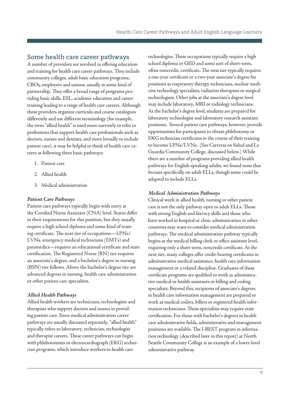#### <span id="page-11-0"></span>Some health care career pathways

A number of providers are involved in offering education and training for health care career pathways. They include community colleges, adult basic education programs, CBOs, employers and unions, usually in some kind of partnership. They offer a broad range of programs providing basic skills, ESL, academic education and career training leading to a range of health care careers. Although these providers organize curricula and course catalogues differently and use different terminology (for example, the term "allied health" is used more narrowly to refer to professions that support health care professionals such as doctors, nurses and dentists, and more broadly to include patient care), it may be helpful to think of health care careers as following three basic pathways:

- 1. Patient care
- 2. Allied health
- 3. Medical administration

#### *Patient Care Pathways*

Patient care pathways typically begin with entry at the Certified Nurse Assistant (CNA) level. States differ in their requirements for this position, but they usually require a high school diploma and some kind of training certificate. The next tier of occupations—LPNs/ LVNs, emergency medical technicians (EMTs) and paramedics—requires an educational certificate and state certification. The Registered Nurse (RN) tier requires an associate's degree, and a bachelor's degree in nursing (BSN) tier follows. Above the bachelor's degree tier are advanced degrees in nursing, health care administration or other patient care specialties.

#### *Allied Health Pathways*

Allied health workers are technicians, technologists and therapists who support doctors and nurses in providing patient care. Since medical administration career pathways are usually discussed separately, "allied health" typically refers to laboratory, technician, technologist and therapist careers. These career pathways can begin with phlebotomists or electrocardiograph (EKG) technician programs, which introduce workers to health care

technologies. These occupations typically require a high school diploma or GED and some sort of short-term, often noncredit, certificate. The next tier typically requires a one-year certificate or a two-year associate's degree for positions as respiratory therapy technicians, nuclear medicine technology specialists, radiation therapists or surgical technologists. Other jobs at the associate's degree level may include laboratory, MRI or radiology technicians. At the bachelor's degree level, students are prepared for laboratory technologist and laboratory research assistant positions. Several patient care pathways, however, provide opportunities for participants to obtain phlebotomy or EKG technician certificates in the course of their training to become LPNs/LVNs. (See Carreras en Salud and La Guardia Community College, discussed below.) While there are a number of programs providing allied health pathways for English-speaking adults, we found none that focuses specifically on adult ELLs, though some could be adapted to include ELLs.

#### *Medical Administration Pathways*

Clinical work in allied health, nursing or other patient care is not the only pathway open to adult ELLs. Those with strong English and literacy skills and those who have worked in hospital or clinic administration in other countries may want to consider medical administration pathways. The medical administration pathway typically begins at the medical billing clerk or office assistant level, requiring only a short-term, noncredit certificate. At the next tier, many colleges offer credit-bearing certificates in administrative medical assistance, health care information management or a related discipline. Graduates of these certificate programs are qualified to work as administrative medical or health assistants or billing and coding specialists. Beyond this, recipients of associate's degrees in health care information management are prepared to work as medical coders, billers or registered health information technicians. These specialties may require state certification. For those with bachelor's degrees in health care administrative fields, administrative and management positions are available. The I-BEST program in information technology (described later in this report) at North Seattle Community College is an example of a lower-level administrative pathway.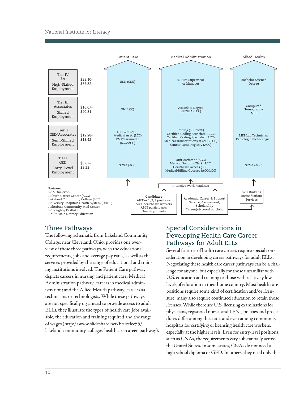#### National Institute for Literacy



#### Three Pathways

The following schematic from Lakeland Community College, near Cleveland, Ohio, provides one overview of these three pathways, with the educational requirements, jobs and average pay rates, as well as the services provided by the range of educational and training institutions involved. The Patient Care pathway depicts careers in nursing and patient care; Medical Administration pathway, careers in medical administration; and the Allied Health pathway, careers as technicians or technologists. While these pathways are not specifically organized to provide access to adult ELLs, they illustrate the types of health care jobs available, the education and training required and the range of wages [\(http://www.slideshare.net/brucelee55/](http://www.slideshare.net/brucelee55/lakeland-community-colleges-healthcare-career-pathway)  [lakeland-community-colleges-healthcare-career-pathway\).](http://www.slideshare.net/brucelee55/lakeland-community-colleges-healthcare-career-pathway) 

# Special Considerations in Developing Health Care Career Pathways for Adult ELLs

Several features of health care careers require special consideration in developing career pathways for adult ELLs. Negotiating these health care career pathways can be a challenge for anyone, but especially for those unfamiliar with U.S. education and training or those with relatively low levels of education in their home country. Most health care positions require some kind of certification and/or licensure; many also require continued education to retain those licenses. While there are U.S. licensing examinations for physicians, registered nurses and LPNs, policies and procedures differ among the states and even among community hospitals for certifying or licensing health care workers, especially at the higher levels. Even for entry-level positions, such as CNAs, the requirements vary substantially across the United States. In some states, CNAs do not need a high school diploma or GED. In others, they need only that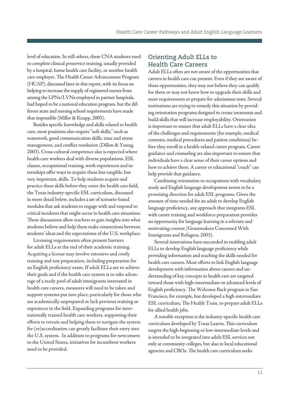level of education. In still others, these CNA students need care employer. The Health Career Advancement Program to complete clinical preservice training, usually provided by a hospital, home health care facility, or another health (HCAP), discussed later in this report, with its focus on helping to increase the supply of registered nurses from among the LPNs/LVNs employed in partner hospitals, had hoped to be a national education program, but the different state and nursing school requirements have made that impossible (Miller & Knapp, 2005).

Besides specific knowledge and skills related to health care, most positions also require "soft skills," such as teamwork, good communication skills, time and stress management, and conflict resolution (Dillon & Young, 2003). Cross-cultural competence also is expected where health care workers deal with diverse populations. ESL classes, occupational training, work experiences and internships offer ways to acquire these less tangible, but very important, skills. To help students acquire and practice these skills before they enter the health care field, the Texas industry-specific ESL curriculum, discussed in more detail below, includes a set of scenario-based modules that ask students to engage with and respond to critical incidents that might occur in health care situations. These discussions allow teachers to gain insights into what students believe and help them make connections between students' ideas and the expectations of the U.S. workplace.

Licensing requirements often present barriers for adult ELLs at the end of their academic training. Acquiring a license may involve extensive and costly training and test preparation, including preparation for an English proficiency exam. If adult ELLs are to achieve their goals and if the health care system is to take advantage of a ready pool of adult immigrants interested in health care careers, measures will need to be taken and support systems put into place, particularly for those who are academically unprepared or lack previous training or experience in the field. Expanding programs for internationally trained health care workers, supporting their efforts to retrain and helping them to navigate the system for (re)accreditation can greatly facilitate their entry into the U.S. system. In addition to programs for newcomers to the United States, initiatives for incumbent workers need to be provided.

### Orienting Adult ELLs to Health Care Careers

Adult ELLs often are not aware of the opportunities that careers in health care can present. Even if they are aware of these opportunities, they may not believe they can qualify for them or may not know how to upgrade their skills and meet requirements or prepare for admissions tests. Several institutions are trying to remedy this situation by providing orientation programs designed to create awareness and build skills that will increase employability. Orientation is important to ensure that adult ELLs have a clear idea of the challenges and requirements (for example, medical contexts, medical procedures and patient conditions) before they enroll in a health-related career program. Career guidance and counseling are also important to ensure that individuals have a clear sense of their career options and how to achieve them. A career or educational "coach" can help provide that guidance.

Combining orientation to occupations with vocabulary study and English language development seems to be a promising direction for adult ESL programs. Given the amount of time needed for an adult to develop English language proficiency, any approach that integrates ESL with career training and workforce preparation provides an opportunity for language learning in a relevant and motivating context (Grantmakers Concerned With Immigrants and Refugees, 2003).

Several innovations have succeeded in enabling adult ELLs to develop English language proficiency while providing information and teaching the skills needed for health care careers. Most efforts to link English language development with information about careers and understanding of key concepts in health care are targeted toward those with high-intermediate or advanced levels of English proficiency. The Welcome Back program in San Francisco, for example, has developed a high-intermediate ESL curriculum, The Health Train, to prepare adult ELLs for allied health jobs.

A notable exception is the industry-specific health care curriculum developed by Texas Learns. This curriculum targets the high-beginning or low-intermediate levels and is intended to be integrated into adult ESL services not only at community colleges, but also in local educational agencies and CBOs. The health care curriculum seeks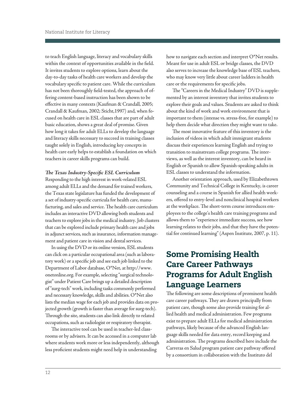to teach English language, literacy and vocabulary skills within the context of opportunities available in the field. It invites students to explore options, learn about the day-to-day tasks of health care workers and develop the vocabulary specific to patient care. While the curriculum has not been thoroughly field-tested, the approach of offering content-based instruction has been shown to be effective in many contexts (Kaufman & Crandall, 2005; Crandall & Kaufman, 2002; Sticht,1997) and, when focused on health care in ESL classes that are part of adult basic education, shows a great deal of promise. Given how long it takes for adult ELLs to develop the language and literacy skills necessary to succeed in training classes taught solely in English, introducing key concepts in health care early helps to establish a foundation on which teachers in career skills programs can build.

#### *The Texas Industry-Specific ESL Curriculum*

Responding to the high interest in work-related ESL among adult ELLs and the demand for trained workers, the Texas state legislature has funded the development of a set of industry-specific curricula for health care, manufacturing, and sales and service. The health care curriculum includes an interactive DVD allowing both students and teachers to explore jobs in the medical industry. Job clusters that can be explored include primary health care and jobs in adjunct services, such as insurance, information management and patient care in vision and dental services.

In using the DVD or its online version, ESL students can click on a particular occupational area (such as laboratory work) or a specific job and see each job linked to the Department of Labor database, O\*Net, at [http://www.](http://www.onetonline.org/)  onetonline.org. For example, selecting "surgical technologist" under Patient Care brings up a detailed description of "surg-tech" work, including tasks commonly performed and necessary knowledge, skills and abilities. O\*Net also lists the median wage for each job and provides data on projected growth (growth is faster than average for surg-tech). Through the site, students can also link directly to related occupations, such as radiologist or respiratory therapist.

The interactive tool can be used in teacher-led classrooms or by advisers. It can be accessed in a computer lab where students work more or less independently, although less proficient students might need help in understanding

how to navigate each section and interpret O\*Net results. Meant for use in adult ESL or bridge classes, the DVD also serves to increase the knowledge base of ESL teachers, who may know very little about career ladders in health care or the requirements for specific jobs.

The "Careers in the Medical Industry" DVD is supplemented by an interest inventory that invites students to explore their goals and values. Students are asked to think about the kind of work and work environment that is important to them (intense vs. stress-free, for example) to help them decide what direction they might want to take.

The most innovative feature of this inventory is the inclusion of videos in which adult immigrant students discuss their experiences learning English and trying to transition to mainstream college programs. The interviews, as well as the interest inventory, can be heard in English or Spanish to allow Spanish-speaking adults in ESL classes to understand the information.

Another orientation approach, used by Elizabethtown Community and Technical College in Kentucky, is career counseling and a course in Spanish for allied health workers, offered to entry-level and nonclinical hospital workers at the workplace. The short-term course introduces employees to the college's health care training programs and allows them to "experience immediate success, see how learning relates to their jobs, and that they have the potential for continued learning" (Aspen Institute, 2007, p. 11).

# Some Promising Health Care Career Pathways Programs for Adult English Language Learners

The following are some descriptions of prominent health care career pathways. They are drawn principally from patient care, though some also provide training for allied health and medical administration. Few programs exist to prepare adult ELLs for medical administration pathways, likely because of the advanced English language skills needed for data entry, record keeping and administration. The programs described here include the Carreras en Salud program patient care pathway offered by a consortium in collaboration with the Instituto del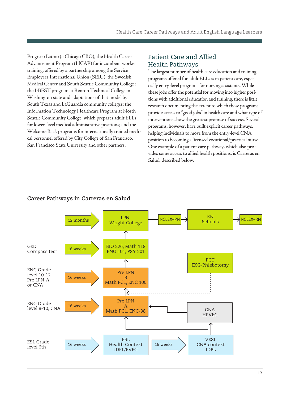Progreso Latino (a Chicago CBO); the Health Career Advancement Program (HCAP) for incumbent worker training, offered by a partnership among the Service Employees International Union (SEIU), the Swedish Medical Center and South Seattle Community College; the I-BEST program at Renton Technical College in Washington state and adaptations of that model by South Texas and LaGuardia community colleges; the Information Technology Healthcare Program at North Seattle Community College, which prepares adult ELLs for lower-level medical administrative positions; and the Welcome Back programs for internationally trained medical personnel offered by City College of San Francisco, San Francisco State University and other partners.

# Patient Care and Allied Health Pathways

The largest number of health care education and training programs offered for adult ELLs is in patient care, especially entry-level programs for nursing assistants. While these jobs offer the potential for moving into higher positions with additional education and training, there is little research documenting the extent to which these programs provide access to "good jobs" in health care and what type of interventions show the greatest promise of success. Several programs, however, have built explicit career pathways, helping individuals to move from the entry-level CNA position to becoming a licensed vocational/practical nurse. One example of a patient care pathway, which also provides some access to allied health positions, is Carreras en Salud, described below.



### **Career Pathways in Carreras en Salud**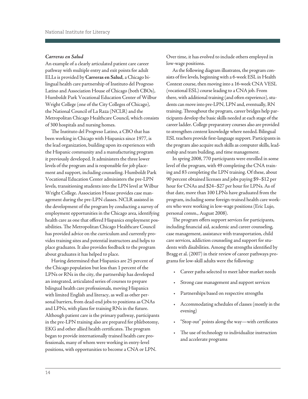#### <span id="page-16-0"></span>*Carreras en Salud*

An example of a clearly articulated patient care career pathway with multiple entry and exit points for adult ELLs is provided by **Carreras en Salud**, a Chicago bilingual health care partnership of Instituto del Progreso Latino and Association House of Chicago (both CBOs), Humboldt Park Vocational Education Center of Wilbur Wright College (one of the City Colleges of Chicago), the National Council of La Raza (NCLR) and the Metropolitan Chicago Healthcare Council, which consists of 300 hospitals and nursing homes.

The Instituto del Progreso Latino, a CBO that has been working in Chicago with Hispanics since 1977, is the lead organization, building upon its experiences with the Hispanic community and a manufacturing program it previously developed. It administers the three lower levels of the program and is responsible for job placement and support, including counseling. Humboldt Park Vocational Education Center administers the pre-LPN levels, transitioning students into the LPN level at Wilbur Wright College. Association House provides case management during the pre-LPN classes. NCLR assisted in the development of the program by conducting a survey of employment opportunities in the Chicago area, identifying health care as one that offered Hispanics employment possibilities. The Metropolitan Chicago Healthcare Council has provided advice on the curriculum and currently provides training sites and potential instructors and helps to place graduates. It also provides feedback to the program about graduates it has helped to place.

Having determined that Hispanics are 25 percent of the Chicago population but less than 1 percent of the LPNs or RNs in the city, the partnership has developed an integrated, articulated series of courses to prepare bilingual health care professionals, moving Hispanics with limited English and literacy, as well as other personal barriers, from dead-end jobs to positions as CNAs and LPNs, with plans for training RNs in the future. Although patient care is the primary pathway, participants in the pre-LPN training also are prepared for phlebotomy, EKG and other allied health certificates. The program began to provide internationally trained health care professionals, many of whom were working in entry-level positions, with opportunities to become a CNA or LPN.

Over time, it has evolved to include others employed in low-wage positions.

As the following diagram illustrates, the program consists of five levels, beginning with a 6-week ESL in Health Context course, then moving into a 16-week CNA VESL (vocational ESL) course leading to a CNA job. From there, with additional training (and often experience), students can move into pre-LPN, LPN and, eventually, RN training. Throughout the program, career bridges help participants develop the basic skills needed at each stage of the career ladder. College preparatory courses also are provided to strengthen content knowledge where needed. Bilingual ESL teachers provide first-language support. Participants in the program also acquire such skills as computer skills, leadership and team building, and time management.

In spring 2008, 770 participants were enrolled in some level of the program, with 49 completing the CNA training and 83 completing the LPN training. Of these, about 90 percent obtained licenses and jobs paying \$9–\$12 per hour for CNAs and \$24–\$27 per hour for LPNs. As of that date, more than 100 LPNs have graduated from the program, including some foreign-trained health care workers who were working in low-wage positions (Eric Lujo, personal comm., August 2008).

The program offers support services for participants, including financial aid, academic and career counseling, case management, assistance with transportation, child care services, addiction counseling and support for students with disabilities. Among the strengths identified by Bragg et al. (2007) in their review of career pathways programs for low-skill adults were the following:

- • Career paths selected to meet labor market needs
- • Strong case management and support services
- Partnerships based on respective strengths
- • Accommodating schedules of classes (mostly in the evening)
- "Stop out" points along the way—with certificates
- The use of technology to individualize instruction and accelerate programs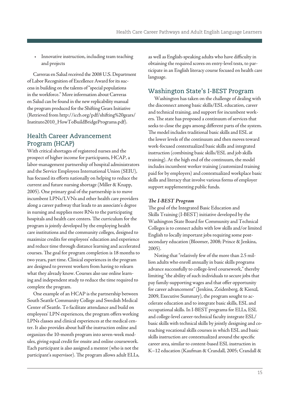• Innovative instruction, including team teaching and projects

Carreras en Salud received the 2008 U.S. Department of Labor Recognition of Excellence Award for its success in building on the talents of "special populations in the workforce." More information about Carreras en Salud can be found in the new replicability manual the program produced for the Shifting Gears Initiative (Retrieved from [http://iccb.org/pdf/shifting%20gears/](http://www.iccb.org/pdf/shiftinggears/Instituto2010_HowToBuildBridgePrograms.pdf)  [Instituto2010\\_HowToBuildBridgePrograms.pdf](http://www.iccb.org/pdf/shiftinggears/Instituto2010_HowToBuildBridgePrograms.pdf)).

# Health Career Advancement Program (HCAP)

With critical shortages of registered nurses and the prospect of higher income for participants, HCAP, a labor-management partnership of hospital administrators and the Service Employees International Union (SEIU), has focused its efforts nationally on helping to reduce the current and future nursing shortage (Miller & Knapp, 2005). One primary goal of the partnership is to move incumbent LPNs/LVNs and other health care providers along a career pathway that leads to an associate's degree in nursing and supplies more RNs to the participating hospitals and health care centers. The curriculum for the program is jointly developed by the employing health care institutions and the community colleges, designed to maximize credits for employees' education and experience and reduce time through distance learning and accelerated courses. The goal for program completion is 18 months to two years, part time. Clinical experiences in the program are designed to prevent workers from having to relearn what they already know. Courses also use online learning and independent study to reduce the time required to complete the program.

One example of an HCAP is the partnership between South Seattle Community College and Swedish Medical Center of Seattle. To facilitate attendance and build on employees' LPN experiences, the program offers working LPNs classes and clinical experiences at the medical center. It also provides about half the instruction online and organizes the 10-month program into seven-week modules, giving equal credit for onsite and online coursework. Each participant is also assigned a mentor (who is not the participant's supervisor). The program allows adult ELLs, as well as English-speaking adults who have difficulty in obtaining the required scores on entry-level tests, to participate in an English literacy course focused on health care language.

# Washington State's I-BEST Program

Washington has taken on the challenge of dealing with the disconnect among basic skills/ESL education, career and technical training, and support for incumbent workers. The state has proposed a continuum of services that seeks to close the gaps among different parts of the system. The model includes traditional basic skills and ESL at the lower levels of the continuum and then moves toward work-focused contextualized basic skills and integrated instruction (combining basic skills/ESL and job skills training). At the high end of the continuum, the model includes incumbent worker training (customized training paid for by employers) and contextualized workplace basic skills and literacy that involve various forms of employer support supplementing public funds.

#### *The I-BEST Program*

The goal of the Integrated Basic Education and Skills Training (I-BEST) initiative developed by the Washington State Board for Community and Technical Colleges is to connect adults with low skills and/or limited English to locally important jobs requiring some postsecondary education (Bloomer, 2008; Prince & Jenkins, 2005).

Noting that "relatively few of the more than 2.5 million adults who enroll annually in basic skills programs advance successfully to college-level coursework," thereby limiting "the ability of such individuals to secure jobs that pay family-supporting wages and that offer opportunity for career advancement" (Jenkins, Zeidenberg, & Kienzl, 2009, Executive Summary), the program sought to accelerate education and to integrate basic skills, ESL and occupational skills. In I-BEST programs for ELLs, ESL and college-level career-technical faculty integrate ESL/ basic skills with technical skills by jointly designing and coteaching vocational skills courses in which ESL and basic skills instruction are contextualized around the specific career area, similar to content-based ESL instruction in K–12 education (Kaufman & Crandall, 2005; Crandall &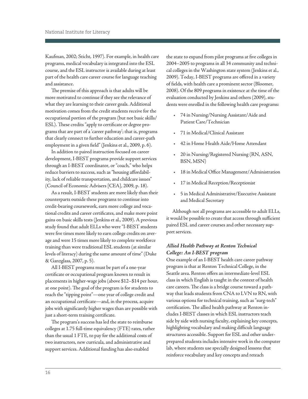Kaufman, 2002; Sticht, 1997). For example, in health care programs, medical vocabulary is integrated into the ESL course, and the ESL instructor is available during at least part of the health care career course for language teaching and assistance.

The premise of this approach is that adults will be more motivated to continue if they see the relevance of what they are learning to their career goals. Additional motivation comes from the credit students receive for the occupational portion of the program (but not basic skills/ ESL). These credits "apply to certificate or degree programs that are part of a 'career pathway'; that is, programs that clearly connect to further education and career-path employment in a given field" (Jenkins et al., 2009, p. 6).

In addition to paired instruction focused on career development, I-BEST programs provide support services through an I-BEST coordinator, or "coach," who helps reduce barriers to success, such as "housing affordability, lack of reliable transportation, and childcare issues" (Council of Economic Advisers [CEA], 2009, p. 18).

As a result, I-BEST students are more likely than their counterparts outside these programs to continue into credit-bearing coursework, earn more college and vocational credits and career certificates, and make more point gains on basic skills tests (Jenkins et al., 2009). A previous study found that adult ELLs who were "I-BEST students were five times more likely to earn college credits on average and were 15 times more likely to complete workforce training than were traditional ESL students (at similar levels of literacy) during the same amount of time" (Duke & Ganzglass, 2007, p. 5).

All I-BEST programs must be part of a one-year certificate or occupational program known to result in placements in higher-wage jobs (above \$12–\$14 per hour, at one point). The goal of the program is for students to reach the "tipping point"—one year of college credit and an occupational certificate—and, in the process, acquire jobs with significantly higher wages than are possible with just a short-term training certificate.

The program's success has led the state to reimburse colleges at 1.75 full-time equivalency (FTE) rates, rather than the usual 1 FTE, to pay for the additional costs of two instructors, new curricula, and administrative and support services. Additional funding has also enabled

the state to expand from pilot programs at five colleges in 2004–2005 to programs in all 34 community and technical colleges in the Washington state system (Jenkins et al., 2009). Today, I-BEST programs are offered in a variety of fields, with health care a prominent sector (Bloomer, 2008). Of the 809 programs in existence at the time of the evaluation conducted by Jenkins and others (2009), students were enrolled in the following health care programs:

- • 74 in Nursing/Nursing Assistant/Aide and Patient Care/Technician
- • 71 in Medical/Clinical Assistant
- 42 in Home Health Aide/Home Attendant
- 20 in Nursing/Registered Nursing (RN, ASN, BSN, MSN)
- • 18 in Medical Office Management/Administration
- • 17 in Medical Reception/Receptionist
- • 5 in Medical Administrative/Executive Assistant and Medical Secretary

Although not all programs are accessible to adult ELLs, it would be possible to create that access through sufficient paired ESL and career courses and other necessary support services.

#### *Allied Health Pathway at Renton Technical College: An I-BEST program*

One example of an I-BEST health care career pathway program is that at Renton Technical College, in the Seattle area. Renton offers an intermediate-level ESL class in which English is taught in the context of health care careers. The class is a bridge course toward a pathway that leads students from CNA to LVN to RN, with various options for technical training, such as "surg-tech" certification. The allied health pathway at Renton includes I-BEST classes in which ESL instructors teach side by side with nursing faculty, explaining key concepts, highlighting vocabulary and making difficult language structures accessible. Support for ESL and other underprepared students includes intensive work in the computer lab, where students use specially designed lessons that reinforce vocabulary and key concepts and reteach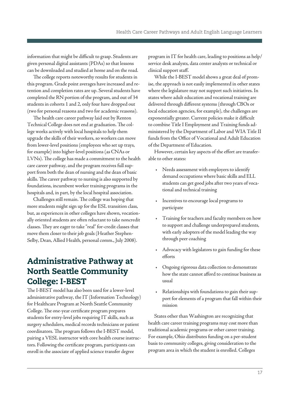information that might be difficult to grasp. Students are given personal digital assistants (PDAs) so that lessons can be downloaded and studied at home and on the road.

The college reports noteworthy results for students in this program. Grade point averages have increased and retention and completion rates are up. Several students have completed the RN portion of the program, and out of 34 students in cohorts 1 and 2, only four have dropped out (two for personal reasons and two for academic reasons).

The health care career pathway laid out by Renton Technical College does not end at graduation. The college works actively with local hospitals to help them upgrade the skills of their workers, so workers can move from lower-level positions (employees who set up trays, for example) into higher-level positions (as CNAs or LVNs). The college has made a commitment to the health care career pathway, and the program receives full support from both the dean of nursing and the dean of basic skills. The career pathway to nursing is also supported by foundations, incumbent worker training programs in the hospitals and, in part, by the local hospital association.

Challenges still remain. The college was hoping that more students might sign up for the ESL transition class, but, as experiences in other colleges have shown, vocationally oriented students are often reluctant to take noncredit classes. They are eager to take "real" for-credit classes that move them closer to their job goals (Heather Stephen-Selby, Dean, Allied Health, personal comm., July 2008).

# Administrative Pathway at North Seattle Community College: I-BEST

The I-BEST model has also been used for a lower-level administrative pathway, the IT (Information Technology) for Healthcare Program at North Seattle Community College. The one-year certificate program prepares students for entry-level jobs requiring IT skills, such as surgery schedulers, medical records technicians or patient coordinators. The program follows the I-BEST model, pairing a VESL instructor with core health course instructors. Following the certificate program, participants can enroll in the associate of applied science transfer degree

program in IT for health care, leading to positions as help/ service desk analysts, data center analysts or technical or clinical support staff.

While the I-BEST model shows a great deal of promise, the approach is not easily implemented in other states where the legislature may not support such initiatives. In states where adult education and vocational training are delivered through different systems (through CBOs or local education agencies, for example), the challenges are exponentially greater. Current policies make it difficult to combine Title I Employment and Training funds administered by the Department of Labor and WIA Title II funds from the Office of Vocational and Adult Education of the Department of Education.

However, certain key aspects of the effort are transferable to other states:

- • Needs assessment with employers to identify demand occupations where basic skills and ELL students can get good jobs after two years of vocational and technical training
- Incentives to encourage local programs to participate
- Training for teachers and faculty members on how to support and challenge underprepared students, with early adopters of the model leading the way through peer coaching
- Advocacy with legislators to gain funding for these efforts
- Ongoing rigorous data collection to demonstrate how the state cannot afford to continue business as usual
- Relationships with foundations to gain their support for elements of a program that fall within their mission

States other than Washington are recognizing that health care career training programs may cost more than traditional academic programs or other career training. For example, Ohio distributes funding on a per-student basis to community colleges, giving consideration to the program area in which the student is enrolled. Colleges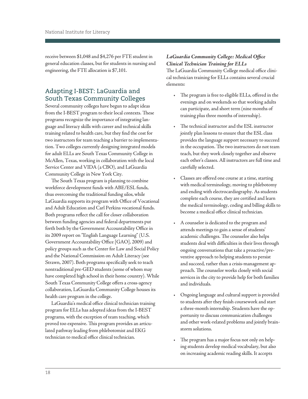<span id="page-20-0"></span>receive between \$1,048 and \$4,276 per FTE student in general education classes, but for students in nursing and engineering, the FTE allocation is \$7,101.

# Adapting I-BEST: LaGuardia and South Texas Community Colleges

Several community colleges have begun to adapt ideas from the I-BEST program to their local contexts. These programs recognize the importance of integrating language and literacy skills with career and technical skills training related to health care, but they find the cost for two instructors for team teaching a barrier to implementation. Two colleges currently designing integrated models for adult ELLs are South Texas Community College in McAllen, Texas, working in collaboration with the local Service Center and VIDA (a CBO), and LaGuardia Community College in New York City.

The South Texas program is planning to combine workforce development funds with ABE/ESL funds, thus overcoming the traditional funding silos, while LaGuardia supports its program with Office of Vocational and Adult Education and Carl Perkins vocational funds. Both programs reflect the call for closer collaboration between funding agencies and federal departments put forth both by the Government Accountability Office in its 2009 report on "English Language Learning" (U.S. Government Accountability Office [GAO], 2009) and policy groups such as the Center for Law and Social Policy and the National Commission on Adult Literacy (see Strawn, 2007). Both programs specifically seek to teach nontraditional pre-GED students (some of whom may have completed high school in their home country). While South Texas Community College offers a cross-agency collaboration, LaGuardia Community College houses its health care program in the college.

LaGuardia's medical office clinical technician training program for ELLs has adopted ideas from the I-BEST programs, with the exception of team teaching, which proved too expensive. This program provides an articulated pathway leading from phlebotomist and EKG technician to medical office clinical technician.

### *LaGuardia Community College: Medical Office Clinical Technician Training for ELLs*

The LaGuardia Community College medical office clinical technician training for ELLs contains several crucial elements:

- The program is free to eligible ELLs, offered in the evenings and on weekends so that working adults can participate, and short term (nine months of training plus three months of internship).
- The technical instructor and the ESL instructor jointly plan lessons to ensure that the ESL class provides the language support necessary to succeed in the occupation. The two instructors do not team teach, but they work closely together and observe each other's classes. All instructors are full time and carefully selected.
- • Classes are offered one course at a time, starting with medical terminology, moving to phlebotomy and ending with electrocardiography. As students complete each course, they are certified and learn the medical terminology, coding and billing skills to become a medical office clinical technician.
- A counselor is dedicated to the program and attends meetings to gain a sense of students' academic challenges. The counselor also helps students deal with difficulties in their lives through ongoing conversations that take a proactive/preventive approach to helping students to persist and succeed, rather than a crisis-management approach. The counselor works closely with social services in the city to provide help for both families and individuals.
- • Ongoing language and cultural support is provided to students after they finish coursework and start a three-month internship. Students have the opportunity to discuss communication challenges and other work-related problems and jointly brainstorm solutions.
- The program has a major focus not only on helping students develop medical vocabulary, but also on increasing academic reading skills. It accepts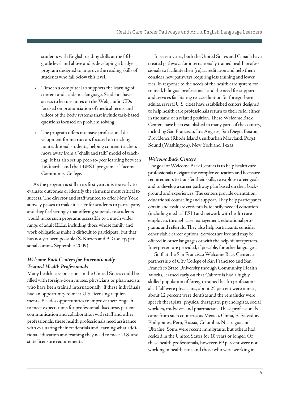students with English reading skills at the fifthgrade level and above and is developing a bridge program designed to improve the reading skills of students who fall below this level.

- Time in a computer lab supports the learning of content and academic language. Students have access to lecture notes on the Web, audio CDs focused on pronunciation of medical terms and videos of the body systems that include task-based questions focused on problem solving.
- The program offers intensive professional development for instructors focused on teaching nontraditional students, helping content teachers move away from a "chalk and talk" model of teaching. It has also set up peer-to-peer learning between LaGuardia and the I-BEST program at Tacoma Community College.

As the program is still in its first year, it is too early to evaluate outcomes or identify the elements most critical to success. The director and staff wanted to offer New York subway passes to make it easier for students to participate, and they feel strongly that offering stipends to students would make such programs accessible to a much wider range of adult ELLs, including those whose family and work obligations make it difficult to participate, but that has not yet been possible (S. Kurien and B. Godley, personal comm., September 2009).

#### *Welcome Back Centers for Internationally Trained Health Professionals*

Many health care positions in the United States could be filled with foreign-born nurses, physicians or pharmacists who have been trained internationally, if these individuals had an opportunity to meet U.S. licensing requirements. Besides opportunities to improve their English to meet expectations for professional discourse, patient communication and collaboration with staff and other professionals, these health professionals need assistance with evaluating their credentials and learning what additional education and training they need to meet U.S. and state licensure requirements.

In recent years, both the United States and Canada have created pathways for internationally trained health professionals to facilitate their (re)accreditation and help them consider new pathways requiring less training and lower fees. In response to the needs of the health care system for trained, bilingual professionals and the need for support and services facilitating reaccreditation for foreign-born adults, several U.S. cities have established centers designed to help health care professionals return to their field, either in the same or a related position. These Welcome Back Centers have been established in many parts of the country, including San Francisco, Los Angeles, San Diego, Boston, Providence (Rhode Island), surburban Maryland, Puget Sound (Washington), New York and Texas.

#### *Welcome Back Centers*

The goal of Welcome Back Centers is to help health care professionals navigate the complex education and licensure requirements to transfer their skills, to explore career goals and to develop a career pathway plan based on their background and experiences. The centers provide orientation, educational counseling and support. They help participants obtain and evaluate credentials, identify needed education (including medical ESL) and network with health care employers through case management, educational programs and referrals. They also help participants consider other viable career options. Services are free and may be offered in other languages or with the help of interpreters. Interpreters are provided, if possible, for other languages.

Staff at the San Francisco Welcome Back Center, a partnership of City College of San Francisco and San Francisco State University through Community Health Works, learned early on that California had a highly skilled population of foreign-trained health professionals. Half were physicians, about 25 percent were nurses, about 12 percent were dentists and the remainder were speech therapists, physical therapists, psychologists, social workers, midwives and pharmacists. These professionals came from such countries as Mexico, China, El Salvador, Philippines, Peru, Russia, Colombia, Nicaragua and Ukraine. Some were recent immigrants, but others had resided in the United States for 10 years or longer. Of these health professionals, however, 69 percent were not working in health care, and those who were working in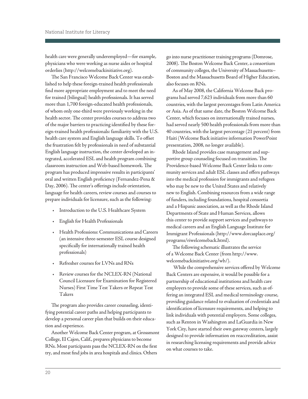health care were generally underemployed—for example, physicians who were working as nurse aides or hospital orderlies [\(http://welcomebackinitiative.org\).](http://welcomebackinitiative.org/wb/) 

The San Francisco Welcome Back Center was established to help these foreign-trained health professionals find more appropriate employment and to meet the need for trained (bilingual) health professionals. It has served more than 1,700 foreign-educated health professionals, of whom only one-third were previously working in the health sector. The center provides courses to address two of the major barriers to practicing identified by these foreign-trained health professionals: familiarity with the U.S. health care system and English language skills. To offset the frustration felt by professionals in need of substantial English language instruction, the center developed an integrated, accelerated ESL and health program combining classroom instruction and Web-based homework. The program has produced impressive results in participants' oral and written English proficiency (Fernandez-Pena & Day, 2006). The center's offerings include orientation, language for health careers, review courses and courses to prepare individuals for licensure, such as the following:

- • Introduction to the U.S. Healthcare System
- English for Health Professionals
- • Health Professions: Communications and Careers (an intensive three-semester ESL course designed specifically for internationally trained health professionals)
- Refresher courses for LVNs and RNs
- Review courses for the NCLEX-RN (National Council Licensure for Examination for Registered Nurses) First Time Test Takers or Repeat Test Takers

The program also provides career counseling, identifying potential career paths and helping participants to develop a personal career plan that builds on their education and experience.

Another Welcome Back Center program, at Grossmont College, El Cajon, Calif., prepares physicians to become RNs. Most participants pass the NCLEX-RN on the first try, and most find jobs in area hospitals and clinics. Others

go into nurse practitioner training programs (Domrose, 2008). The Boston Welcome Back Center, a consortium of community colleges, the University of Massachusetts– Boston and the Massachusetts Board of Higher Education, also focuses on RNs.

As of May 2008, the California Welcome Back programs had served 7,623 individuals from more than 60 countries, with the largest percentages from Latin America or Asia. As of that same date, the Boston Welcome Back Center, which focuses on internationally trained nurses, had served nearly 500 health professionals from more than 40 countries, with the largest percentage (21 percent) from Haiti (Welcome Back initiative information PowerPoint presentation, 2008, no longer available).

Rhode Island provides case management and supportive group counseling focused on transition. The Providence-based Welcome Back Center links to community services and adult ESL classes and offers pathways into the medical profession for immigrants and refugees who may be new to the United States and relatively new to English. Combining resources from a wide range of funders, including foundations, hospital consortia and a Hispanic association, as well as the Rhode Island Departments of State and Human Services, allows this center to provide support services and pathways to medical careers and an English Language Institute for Immigrant Professionals [\(http://www.dorcasplace.org/](http://dorcasplace.org/EducationWorkforce/TheWelcomeBackCenterDorcasPlace/tabid/204/Default.aspx)  [programs/riwelcomeback.html\)](http://dorcasplace.org/EducationWorkforce/TheWelcomeBackCenterDorcasPlace/tabid/204/Default.aspx).

The following schematic illustrates the service of a Welcome Back Center (from [http://www.](http://welcomebackinitiative.org/wb/participant/chart.html)  [welcomebackinitiative.org/wb/\).](http://welcomebackinitiative.org/wb/participant/chart.html) 

While the comprehensive services offered by Welcome Back Centers are expensive, it would be possible for a partnership of educational institutions and health care employers to provide some of these services, such as offering an integrated ESL and medical terminology course, providing guidance related to evaluation of credentials and identification of licensure requirements, and helping to link individuals with potential employers. Some colleges, such as Renton in Washington and LaGuardia in New York City, have started their own gateway centers, largely designed to provide information on reaccreditation, assist in researching licensing requirements and provide advice on what courses to take.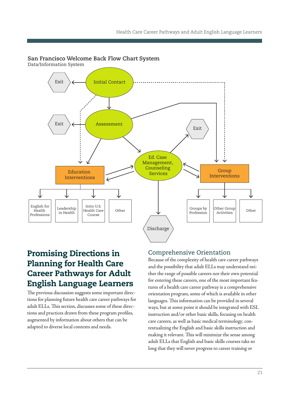#### **San Francisco Welcome Back Flow Chart System**

Data/Information System



# Promising Directions in Planning for Health Care Career Pathways for Adult English Language Learners

The previous discussion suggests some important directions for planning future health care career pathways for adult ELLs. This section, discusses some of these directions and practices drawn from these program profiles, augmented by information about others that can be adapted to diverse local contexts and needs.

#### Comprehensive Orientation

Because of the complexity of health care career pathways and the possibility that adult ELLs may understand neither the range of possible careers nor their own potential for entering these careers, one of the most important features of a health care career pathway is a comprehensive orientation program, some of which is available in other languages. This information can be provided in several ways, but at some point it should be integrated with ESL instruction and/or other basic skills, focusing on health care careers, as well as basic medical terminology, contextualizing the English and basic skills instruction and making it relevant. This will minimize the sense among adult ELLs that English and basic skills courses take so long that they will never progress to career training or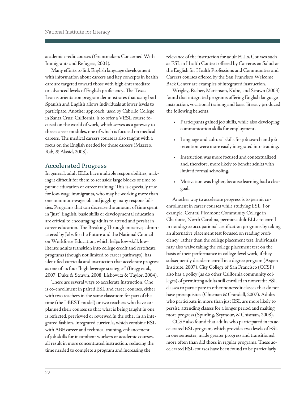academic credit courses (Grantmakers Concerned With Immigrants and Refugees, 2003).

Many efforts to link English language development with information about careers and key concepts in health care are targeted toward those with high-intermediate or advanced levels of English proficiency. The Texas Learns orientation program demonstrates that using both Spanish and English allows individuals at lower levels to participate. Another approach, used by Cabrillo College in Santa Cruz, California, is to offer a VESL course focused on the world of work, which serves as a gateway to three career modules, one of which is focused on medical careers. The medical careers course is also taught with a focus on the English needed for those careers (Mazzeo, Rab, & Alssid, 2003).

#### Accelerated Progress

In general, adult ELLs have multiple responsibilities, making it difficult for them to set aside large blocks of time to pursue education or career training. This is especially true for low-wage immigrants, who may be working more than one minimum-wage job and juggling many responsibilities. Programs that can decrease the amount of time spent in "just" English, basic skills or developmental education are critical to encouraging adults to attend and persist in career education. The Breaking Through initiative, administered by Jobs for the Future and the National Council on Workforce Education, which helps low-skill, lowliterate adults transition into college credit and certificate programs (though not limited to career pathways), has identified curricula and instruction that accelerate progress as one of its four "high leverage strategies" (Bragg et al., 2007; Duke & Strawn, 2008; Liebowitz & Taylor, 2004).

There are several ways to accelerate instruction. One is co-enrollment in paired ESL and career courses, either with two teachers in the same classroom for part of the time (the I-BEST model) or two teachers who have coplanned their courses so that what is being taught in one is reflected, previewed or reviewed in the other in an integrated fashion. Integrated curricula, which combine ESL with ABE career and technical training, enhancement of job skills for incumbent workers or academic courses, all result in more concentrated instruction, reducing the time needed to complete a program and increasing the

relevance of the instruction for adult ELLs. Courses such as ESL in Health Context offered by Carreras en Salud or the English for Health Professions and Communities and Careers courses offered by the San Francisco Welcome Back Center are examples of integrated instruction.

Wrigley, Richer, Martinson, Kubo, and Strawn (2003) found that integrated programs offering English language instruction, vocational training and basic literacy produced the following benefits:

- • Participants gained job skills, while also developing communication skills for employment.
- • Language and cultural skills for job search and job retention were more easily integrated into training.
- • Instruction was more focused and contextualized and, therefore, more likely to benefit adults with limited formal schooling.
- • Motivation was higher, because learning had a clear goal.

Another way to accelerate progress is to permit coenrollment in career courses while studying ESL. For example, Central Piedmont Community College in Charlotte, North Carolina, permits adult ELLs to enroll in nondegree occupational certification programs by taking an alternative placement test focused on reading proficiency, rather than the college placement test. Individuals may also waive taking the college placement test on the basis of their performance in college-level work, if they subsequently decide to enroll in a degree program (Aspen Institute, 2007). City College of San Francisco (CCSF) also has a policy (as do other California community colleges) of permitting adults still enrolled in noncredit ESL classes to participate in other noncredit classes that do not have prerequisites (Chisman & Crandall, 2007). Adults who participate in more than just ESL are more likely to persist, attending classes for a longer period and making more progress (Spurling, Seymour, & Chisman, 2008).

CCSF also found that adults who participated in its accelerated ESL program, which provides two levels of ESL in one semester, made greater progress and transitioned more often than did those in regular programs. These accelerated ESL courses have been found to be particularly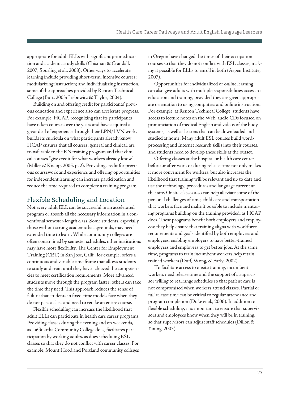<span id="page-25-0"></span>appropriate for adult ELLs with significant prior education and academic study skills (Chisman & Crandall, 2007; Spurling et al., 2008). Other ways to accelerate learning include providing short-term, intensive courses; modularizing instruction; and individualizing instruction, some of the approaches provided by Renton Technical College (Burt, 2003; Liebowitz & Taylor, 2004).

Building on and offering credit for participants' previous education and experience also can accelerate progress. For example, HCAP, recognizing that its participants have taken courses over the years and have acquired a great deal of experience through their LPN/LVN work, builds its curricula on what participants already know. HCAP ensures that all courses, general and clinical, are transferable to the RN training program and that clinical courses "give credit for what workers already know" (Miller & Knapp, 2005, p. 2). Providing credit for previous coursework and experience and offering opportunities for independent learning can increase participation and reduce the time required to complete a training program.

### Flexible Scheduling and Location

Not every adult ELL can be successful in an accelerated program or absorb all the necessary information in a conventional semester-length class. Some students, especially those without strong academic backgrounds, may need extended time to learn. While community colleges are often constrained by semester schedules, other institutions may have more flexibility. The Center for Employment Training (CET) in San Jose, Calif., for example, offers a continuous and variable time frame that allows students to study and train until they have achieved the competencies to meet certification requirements. More advanced students move through the program faster; others can take the time they need. This approach reduces the sense of failure that students in fixed-time models face when they do not pass a class and need to retake an entire course.

Flexible scheduling can increase the likelihood that adult ELLs can participate in health care career programs. Providing classes during the evening and on weekends, as LaGuardia Community College does, facilitates participation by working adults, as does scheduling ESL classes so that they do not conflict with career classes. For example, Mount Hood and Portland community colleges

in Oregon have changed the times of their occupation courses so that they do not conflict with ESL classes, making it possible for ELLs to enroll in both (Aspen Institute, 2007).

Opportunities for individualized or online learning can also give adults with multiple responsibilities access to education and training, provided they are given appropriate orientation to using computers and online instruction. For example, at Renton Technical College, students have access to lecture notes on the Web, audio CDs focused on pronunciation of medical English and videos of the body systems, as well as lessons that can be downloaded and studied at home. Many adult ESL courses build wordprocessing and Internet research skills into their courses, and students need to develop these skills at the outset.

Offering classes at the hospital or health care center before or after work or during release time not only makes it more convenient for workers, but also increases the likelihood that training will be relevant and up to date and use the technology, procedures and language current at that site. Onsite classes also can help alleviate some of the personal challenges of time, child care and transportation that workers face and make it possible to include mentoring programs building on the training provided, as HCAP does. These programs benefit both employers and employees: they help ensure that training aligns with workforce requirements and goals identified by both employers and employees, enabling employers to have better-trained employees and employees to get better jobs. At the same time, programs to train incumbent workers help retain trained workers (Duff, Wong, & Early, 2002).

To facilitate access to onsite training, incumbent workers need release time and the support of a supervisor willing to rearrange schedules so that patient care is not compromised when workers attend classes. Partial or full release time can be critical to regular attendance and program completion (Duke et al., 2006). In addition to flexible scheduling, it is important to ensure that supervisors and employees know when they will be in training, so that supervisors can adjust staff schedules (Dillon & Young, 2003).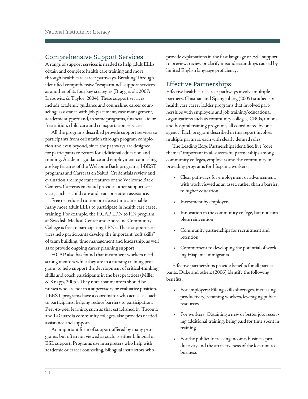#### Comprehensive Support Services

A range of support services is needed to help adult ELLs obtain and complete health care training and move through health care career pathways. Breaking Through identified comprehensive "wraparound" support services as another of its four key strategies (Bragg et al., 2007; Liebowitz & Taylor, 2004). These support services include academic guidance and counseling, career counseling, assistance with job placement, case management, academic support and, in some programs, financial aid or free tuition, child care and transportation services.

All the programs described provide support services to participants from orientation through program completion and even beyond, since the pathways are designed for participants to return for additional education and training. Academic guidance and employment counseling are key features of the Welcome Back programs, I-BEST programs and Carreras en Salud. Credentials review and evaluation are important features of the Welcome Back Centers. Carreras en Salud provides other support services, such as child care and transportation assistance.

Free or reduced tuition or release time can enable many more adult ELLs to participate in health care career training. For example, the HCAP LPN to RN program at Swedish Medical Center and Shoreline Community College is free to participating LPNs. These support services help participants develop the important "soft skills" of team building, time management and leadership, as well as to provide ongoing career planning support.

HCAP also has found that incumbent workers need strong mentors while they are in a nursing training program, to help support the development of critical-thinking skills and coach participants in the best practices (Miller & Knapp, 2005). They note that mentors should be nurses who are not in a supervisory or evaluative position. I-BEST programs have a coordinator who acts as a coach to participants, helping reduce barriers to participation. Peer-to-peer learning, such as that established by Tacoma and LaGuardia community colleges, also provides needed assistance and support.

An important form of support offered by many programs, but often not viewed as such, is either bilingual or ESL support. Programs use interpreters who help with academic or career counseling, bilingual instructors who

provide explanations in the first language or ESL support to preview, review or clarify misunderstandings caused by limited English language proficiency.

### Effective Partnerships

Effective health care career pathways involve multiple partners. Chisman and Spangenberg (2005) studied six health care career ladder programs that involved partnerships with employers and job training/educational organizations such as community colleges, CBOs, unions and hospital training programs, all coordinated by one agency. Each program described in this report involves multiple partners, each with clearly defined roles.

The Leading Edge Partnerships identified five "core themes" important in all successful partnerships among community colleges, employers and the community in providing programs for Hispanic workers:

- • Clear pathways for employment or advancement, with work viewed as an asset, rather than a barrier, to higher education
- Investment by employers
- • Innovation in the community college, but not complete reinvention
- • Community partnerships for recruitment and retention
- • Commitment to developing the potential of working Hispanic immigrants

Effective partnerships provide benefits for all participants. Duke and others (2006) identify the following benefits:

- • For employers: Filling skills shortages, increasing productivity, retaining workers, leveraging public resources
- • For workers: Obtaining a new or better job, receiving additional training, being paid for time spent in training
- • For the public: Increasing income, business productivity and the attractiveness of the location to business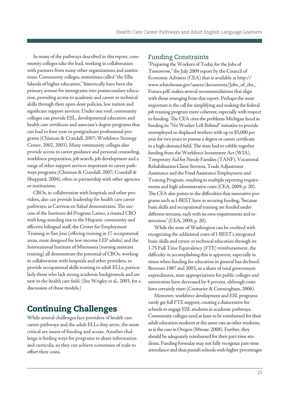In many of the pathways described in this report, community colleges take the lead, working in collaboration with partners from many other organizations and institutions. Community colleges, sometimes called "the Ellis Islands of higher education," historically have been the primary avenue for immigrants into postsecondary education, providing access to academic and career or technical skills through their open-door policies, low tuition and significant support services. Under one roof, community colleges can provide ESL, developmental education and health care certificate and associate's degree programs that can lead to four-year or postgraduate professional programs (Chisman & Crandall, 2007; Workforce Strategy Center, 2002, 2003). Many community colleges also provide access to career guidance and personal counseling, workforce preparation, job search, job development and a range of other support services important to career pathways programs (Chisman & Crandall, 2007; Crandall & Sheppard, 2004), often in partnership with other agencies or institutions.

CBOs, in collaboration with hospitals and other providers, also can provide leadership for health care career pathways, as Carreras en Salud demonstrates. The success of the Instituto del Progreso Latino, a trusted CBO with long-standing ties to the Hispanic community and effective bilingual staff, the Center for Employment Training in San Jose (offering training in 17 occupational areas, most designed for low-income LEP adults) and the International Institute of Minnesota (nursing assistant training) all demonstrate the potential of CBOs, working in collaboration with hospitals and other providers, to provide occupational skills training to adult ELLs, particularly those who lack strong academic backgrounds and are new to the health care field. (See Wrigley et al., 2003, for a discussion of these models.)

# Continuing Challenges

While several challenges face providers of health care career pathways and the adult ELLs they serve, the most critical are issues of funding and access. Another challenge is finding ways for programs to share information and curricula, so they can achieve economies of scale to offset their costs.

#### Funding Constraints

 Tomorrow," the July 2009 report by the Council of "Preparing the Workers of Today for the Jobs of Economic Advisers (CEA) that is available at [http://](http://www.whitehouse.gov/assets/documents/Jobs_of_the_Future.pdf) [www.whitehouse.gov/assets/documents/Jobs\\_of\\_the\\_](http://www.whitehouse.gov/assets/documents/Jobs_of_the_Future.pdf)  [Future.pdf,](http://www.whitehouse.gov/assets/documents/Jobs_of_the_Future.pdf) makes several recommendations that align with those emerging from this report. Perhaps the most important is the call for simplifying and making the federal job training program more coherent, especially with respect to funding. The CEA cites the problems Michigan faced in funding its "No Worker Left Behind" initiative to provide unemployed or displaced workers with up to \$5,000 per year for two years to pursue a degree or career certificate in a high-demand field. The state had to cobble together funding from the Workforce Investment Act (WIA), Temporary Aid for Needy Families (TANF), Vocational Rehabilitation Client Services, Trade Adjustment Assistance and the Food Assistance Employment and Training Program, resulting in multiple reporting requirements and high administrative costs (CEA, 2009, p. 20). The CEA also points to the difficulties that innovative programs such as I-BEST have in securing funding, "because basic skills and occupational training are funded under different streams, each with its own requirements and restrictions" (CEA, 2009, p. 20).

While the state of Washington can be credited with recognizing the additional costs of I-BEST's integrated basic skills and career or technical education through its 1.75 Full Time Equivalency (FTE) reimbursement, the difficulty in accomplishing this is apparent, especially in times when funding for education in general has declined. Between 1987 and 2003, as a share of total government expenditures, state appropriations for public colleges and universities have decreased by 4 percent, although costs have certainly risen (Couturier & Cunningham, 2006).

Moreover, workforce development and ESL programs rarely get full FTE support, creating a disincentive for schools to engage ESL students in academic pathways. Community colleges need at least to be reimbursed for their adult education students at the same rate as other students, as is the case in Oregon (Mwase, 2008). Further, they should be adequately reimbursed for their part-time students. Funding formulas may not fully recognize part-time attendance and thus punish schools with higher percentages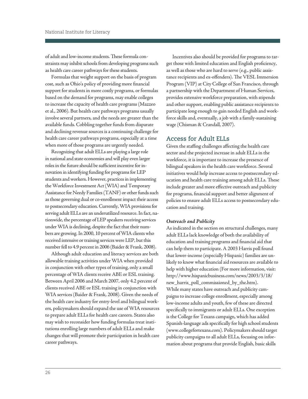of adult and low-income students. These formula constraints may inhibit schools from developing programs such as health care career pathways for these students.

Formulas that weight support on the basis of program cost, such as Ohio's policy of providing more financial support for students in more costly programs, or formulas based on the demand for programs, may enable colleges to increase the capacity of health care programs (Mazzeo et al., 2006). But health care pathways programs usually involve several partners, and the needs are greater than the available funds. Cobbling together funds from disparate and declining revenue sources is a continuing challenge for health care career pathways programs, especially at a time when more of those programs are urgently needed.

Recognizing that adult ELLs are playing a large role in national and state economies and will play even larger roles in the future should be sufficient incentive for innovation in identifying funding for programs for LEP students and workers. However, practices in implementing the Workforce Investment Act (WIA) and Temporary Assistance for Needy Families (TANF) or other funds such as those governing dual or co-enrollment impact their access to postsecondary education. Currently, WIA provisions for serving adult ELLs are an underutilized resource. In fact, nationwide, the percentage of LEP speakers receiving services under WIA is declining, despite the fact that their numbers are growing. In 2000, 10 percent of WIA clients who received intensive or training services were LEP, but this number fell to 4.9 percent in 2006 (Baider & Frank, 2008).

Although adult education and literacy services are both allowable training activities under WIA when provided in conjunction with other types of training, only a small percentage of WIA clients receive ABE or ESL training. Between April 2006 and March 2007, only 4.2 percent of clients received ABE or ESL training in conjunction with WIA services (Baider & Frank, 2008). Given the needs of the health care industry for entry-level and bilingual workers, policymakers should expand the use of WIA resources to prepare adult ELLs for health care careers. States also may wish to reconsider how funding formulas treat institutions enrolling large numbers of adult ELLs and make changes that will promote their participation in health care career pathways.

Incentives also should be provided for programs to target those with limited education and English proficiency, as well as those who are hard to serve (e.g., public assistance recipients and ex-offenders). The VESL Immersion Program (VIP) at City College of San Francisco, through a partnership with the Department of Human Services, provides extensive workforce preparation, with stipends and other support, enabling public assistance recipients to participate long enough to gain needed English and workforce skills and, eventually, a job with a family-sustaining wage (Chisman & Crandall, 2007).

#### Access for Adult ELLs

Given the staffing challenges affecting the health care sector and the projected increase in adult ELLs in the workforce, it is important to increase the presence of bilingual speakers in the health care workforce. Several initiatives would help increase access to postsecondary education and health care training among adult ELLs. These include greater and more effective outreach and publicity for programs, financial support and better alignment of policies to ensure adult ELLs access to postsecondary education and training.

#### *Outreach and Publicity*

As indicated in the section on structural challenges, many adult ELLs lack knowledge of both the availability of education and training programs and financial aid that can help them to participate. A 2003 Harris poll found that lower-income (especially Hispanic) families are unlikely to know what financial aid resources are available to help with higher education (For more information, visit: [http://www.hispanicbusiness.com/news/2003/3/18/](http://www.hispanicbusiness.com/news/2003/3/18/new_harris_poll_commissioned_by_the.htm)  [new\\_harris\\_poll\\_commissioned\\_by\\_the.htm\)](http://www.hispanicbusiness.com/news/2003/3/18/new_harris_poll_commissioned_by_the.htm). While many states have outreach and publicity campaigns to increase college enrollment, especially among low-income adults and youth, few of these are directed specifically to immigrants or adult ELLs. One exception is the College for Texans campaign, which has added Spanish-language ads specifically for high school students [\(www.collegefortexans.com](www.collegefortexans.com)[\). Po](http://www.collegefortexans.com)licymakers should target publicity campaigns to all adult ELLs, focusing on information about programs that provide English, basic skills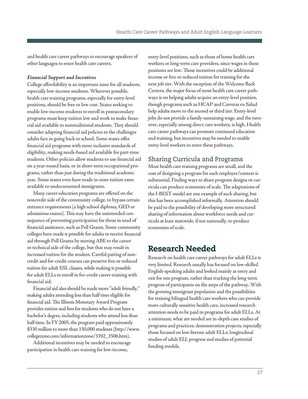<span id="page-29-0"></span>and health care career pathways to encourage speakers of other languages to enter health care careers.

#### *Financial Support and Incentives*

College affordability is an important issue for all students, especially low-income students. Wherever possible, health care training programs, especially for entry-level positions, should be free or low cost. States seeking to enable low-income students to enroll in postsecondary programs must keep tuition low and work to make financial aid available to nontraditional students. They should consider adapting financial aid policies to the challenges adults face in going back to school. Some states offer financial aid programs with more inclusive standards of eligibility, making needs-based aid available for part-time students. Other policies allow students to use financial aid on a year-round basis, or in short-term occupational programs, rather than just during the traditional academic year. Some states even have made in-state tuition rates available to undocumented immigrants.

Many career education programs are offered on the noncredit side of the community college, to bypass certain entrance requirements (a high school diploma, GED or admissions exams). This may have the unintended consequence of preventing participation for those in need of financial assistance, such as Pell Grants. Some community colleges have made it possible for adults to receive financial aid through Pell Grants by moving ABE to the career or technical side of the college, but that may result in increased tuition for the student. Careful pairing of noncredit and for-credit courses can preserve free or reduced tuition for adult ESL classes, while making it possible for adult ELLs to enroll in for-credit career training with financial aid.

Financial aid also should be made more "adult friendly," making adults attending less than half time eligible for financial aid. The Illinois Monetary Award Program provides tuition and fees for students who do not have a bachelor's degree, including students who attend less than half time. In FY 2005, the program paid approximately \$330 million to more than 150,000 students ([http://www.](http://www.collegezone.com/416_891.htm)  [collegezone.com/informationzone/3392\\_3506.htm\).](http://www.collegezone.com/416_891.htm) 

Additional incentives may be needed to encourage participation in health care training for low-income,

entry-level positions, such as those of home health care workers or long-term care providers, since wages in these positions are low. These incentives could be additional income or free or reduced tuition for training for the next job tier. With the exception of the Welcome Back Centers, the major focus of most health care career pathways is on helping adults acquire an entry-level position, though programs such as HCAP and Carreras en Salud help adults move to the second or third tier. Entry-level jobs do not provide a family-sustaining wage, and the turnover, especially among direct care workers, is high. Health care career pathways can promote continued education and training, but incentives may be needed to enable entry-level workers to enter these pathways.

# Sharing Curricula and Programs

Most health care training programs are small, and the cost of designing a program for each employer/context is substantial. Finding ways to share program designs or curricula can produce economies of scale. The adaptations of the I-BEST model are one example of such sharing, but this has been accomplished informally. Attention should be paid to the possibility of developing more structured sharing of information about workforce needs and curricula at least statewide, if not nationally, to produce economies of scale.

# Research Needed

Research on health care career pathways for adult ELLs is very limited. Research usually has focused on low-skilled English-speaking adults and looked mainly at entry and exit for one program, rather than tracking the long-term progress of participants on the steps of the pathway. With the growing immigrant population and the possibilities for training bilingual health care workers who can provide more culturally sensitive health care, increased research attention needs to be paid to programs for adult ELLs. At a minimum, what are needed are in-depth case studies of programs and practices; demonstration projects, especially those focused on low-literate adult ELLs; longitudinal studies of adult ELL progress and studies of potential funding models.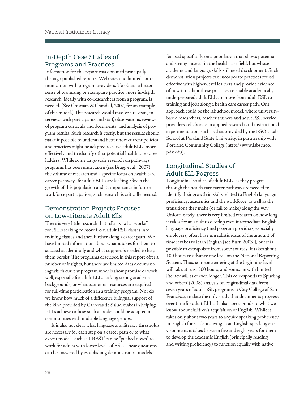# In-Depth Case Studies of Programs and Practices

Information for this report was obtained principally through published reports, Web sites and limited communication with program providers. To obtain a better sense of promising or exemplary practice, more in-depth research, ideally with co-researchers from a program, is needed. (See Chisman & Crandall, 2007, for an example of this model.) This research would involve site visits, interviews with participants and staff, observations, reviews of program curricula and documents, and analysis of program results. Such research is costly, but the results should make it possible to understand better how current policies and practices might be adapted to serve adult ELLs more effectively and to identify other potential health care career ladders. While some large-scale research on pathways programs has been undertaken (see Bragg et al., 2007), the volume of research and a specific focus on health care career pathways for adult ELLs are lacking. Given the growth of this population and its importance in future workforce participation, such research is critically needed.

### Demonstration Projects Focused on Low-Literate Adult Ells

There is very little research that tells us "what works" for ELLs seeking to move from adult ESL classes into training classes and then further along a career path. We have limited information about what it takes for them to succeed academically and what support is needed to help them persist. The programs described in this report offer a number of insights, but there are limited data documenting which current program models show promise or work well, especially for adult ELLs lacking strong academic backgrounds, or what economic resources are required for full-time participation in a training program. Nor do we know how much of a difference bilingual support of the kind provided by Carreras de Salud makes in helping ELLs achieve or how such a model could be adapted in communities with multiple language groups.

It is also not clear what language and literacy thresholds are necessary for each step on a career path or to what extent models such as I-BEST can be "pushed down" to work for adults with lower levels of ESL. These questions can be answered by establishing demonstration models

focused specifically on a population that shows potential and strong interest in the health care field, but whose academic and language skills still need development. Such demonstration projects can incorporate practices found effective with higher-level learners and provide evidence of how t to adapt those practices to enable academically underprepared adult ELLs to move from adult ESL to training and jobs along a health care career path. One approach could be the lab school model, where universitybased researchers, teacher trainers and adult ESL service providers collaborate in applied research and instructional experimentation, such as that provided by the ESOL Lab School at Portland State University, in partnership with Portland Community College [\(http://www.labschool.](http://www.labschool.pdx.edu)  [pdx.edu\).](http://www.labschool.pdx.edu) 

# Longitudinal Studies of Adult ELL Pogress

Longitudinal studies of adult ELLs as they progress through the health care career pathway are needed to identify their growth in skills related to English language proficiency, academics and the workforce, as well as the transitions they make (or fail to make) along the way. Unfortunately, there is very limited research on how long it takes for an adult to develop even intermediate English language proficiency (and program providers, especially employers, often have unrealistic ideas of the amount of time it takes to learn English [see Burt, 2003]), but it is possible to extrapolate from some sources. It takes about 100 hours to advance one level on the National Reporting System. Thus, someone entering at the beginning level will take at least 500 hours, and someone with limited literacy will take even longer. This corresponds to Spurling and others' (2008) analysis of longitudinal data from seven years of adult ESL programs at City College of San Francisco, to date the only study that documents progress over time for adult ELLs. It also corresponds to what we know about children's acquisition of English. While it takes only about two years to acquire speaking proficiency in English for students living in an English-speaking environment, it takes between five and eight years for them to develop the academic English (principally reading and writing proficiency) to function equally with native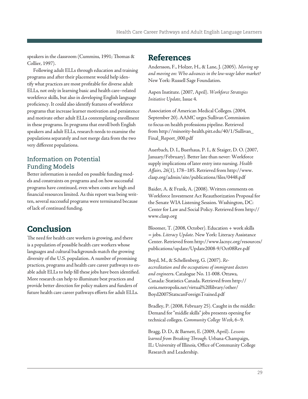<span id="page-31-0"></span>speakers in the classroom (Cummins, 1991; Thomas & Collier, 1997).

Following adult ELLs through education and training programs and after their placement would help identify what practices are most profitable for diverse adult ELLs, not only in learning basic and health care–related workforce skills, but also in developing English language proficiency. It could also identify features of workforce programs that increase learner motivation and persistence and motivate other adult ELLs contemplating enrollment in these programs. In programs that enroll both English speakers and adult ELLs, research needs to examine the populations separately and not merge data from the two very different populations.

# Information on Potential Funding Models

Better information is needed on possible funding models and constraints on programs and on how successful programs have continued, even when costs are high and financial resources limited. As this report was being written, several successful programs were terminated because of lack of continued funding.

# Conclusion

The need for health care workers is growing, and there is a population of possible health care workers whose languages and cultural backgrounds match the growing diversity of the U.S. population. A number of promising practices, programs and health care career pathways to enable adult ELLs to help fill these jobs have been identified. More research can help to illuminate best practices and provide better direction for policy makers and funders of future health care career pathways efforts for adult ELLs.

# **References**

Andersson, F., Holzer, H., & Lane, J. (2005). *Moving up and moving on: Who advances in the low-wage labor market?*  New York: Russell Sage Foundation.

Aspen Institute. (2007, April). *Workforce Strategies Initiative Update*, Issue 4.

Association of American Medical Colleges. (2004, September 20). AAMC urges Sullivan Commission to focus on health professions pipeline. [Retrieved](Retrieved from�http://minority-health.pitt.edu/40/1/Sullivan_Final_Report_000.pd)  [from http://minority-health.pitt.edu/40/1/Sullivan\\_](Retrieved from�http://minority-health.pitt.edu/40/1/Sullivan_Final_Report_000.pd) [Final\\_Report\\_000.pdf](Retrieved from�http://minority-health.pitt.edu/40/1/Sullivan_Final_Report_000.pd)

Auerbach, D. I., Buerhaus, P. I., & Staiger, D. O. (2007, January/February)*.* Better late than never: Workforce supply implications of later entry into nursing. *Health Affairs, 26*(1), 178–185. Retrieved from [http://www.](http://www.clasp.org/admin/site/publications/files/0448.pdf)  [clasp.org/admin/site/publications/files/0448.pdf](http://www.clasp.org/admin/site/publications/files/0448.pdf) 

Baider, A. & Frank, A. (2008). Written comments on Workforce Investment Act Reauthorization Proposal for the Senate WIA Listening Session. Wsshington, DC: Center for Law and Social Policy. Retrieved from [http://](http://www.clasp.org)  [www.clasp.org](http://www.clasp.org) 

Bloomer, T. (2008, October). Education + work skills = jobs. *Literacy Update.* New York: Literacy Assistance Center. Retrieved from <http://www.lacnyc.org/resources/> publications/update/Update2008-9/Oct08Rev.pdf

Boyd, M., & Schellenberg, G. (2007). *Reaccreditation and the occupations of immigrant doctors and engineer*s. Catalogue No. 11-008. Ottawa, Canada: Statistics Canada. Retrieved from [http://](http://www.statcan.gc.ca/pub/11-008-x/2007004/pdf/10312-eng.pdf)  [ceris.metropolis.net/virtual%20library/other/](http://www.statcan.gc.ca/pub/11-008-x/2007004/pdf/10312-eng.pdf)  Boyd2007StatscanForeignTrained.pdf

Bradley, P. (2008, February 25). Caught in the middle: Demand for "middle skills" jobs presents opening for technical colleges. *Community College Week*, 6–9.

Bragg, D. D., & Barnett, E. (2009, April). *Lessons learned from Breaking Through.* Urbana-Champaign, IL: University of Illinois, Office of Community College Research and Leadership.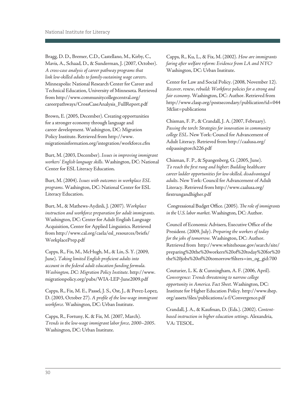<span id="page-32-0"></span>Bragg, D. D., Bremer, C.D., Castellano, M., Kirby, C., Mavis, A., Schaad, D., & Sunderman, J. (2007, October). *A cross-case analysis of career pathway programs that link low-skilled adults to family-sustaining wage careers.*  Minneapolis: National Research Center for Career and Technical Education, University of Minnesota. Retrieved from [http://www.communitycollegecentral.org/](http://www.communitycollegecentral.org/careerpathways/CrossCaseAnalysis_FullReport.pdf) [careerpathways/CrossCaseAnalysis\\_FullReport.pdf](http://www.communitycollegecentral.org/careerpathways/CrossCaseAnalysis_FullReport.pdf) 

Brown, E. (2005, December). Creating opportunities for a stronger economy through language and career development. Washington, DC: Migration Policy Institute. Retrieved from [http://www.](http://www.migrationinformation.org/integration/workforce.cfm?print=yes)  [migrationinformation.org/integration/workforce.cfm](http://www.migrationinformation.org/integration/workforce.cfm?print=yes) 

Burt, M. (2003, December). *Issues in improving immigrant workers' English language skills.* Washington, DC: National Center for ESL Literacy Education.

Burt, M. (2004). *Issues with outcomes in workplace ESL programs.* Washington, DC: National Center for ESL Literacy Education.

Burt, M., & Mathews-Aydinli, J. (2007). *Workplace instruction and workforce preparation for adult immigrants.*  Washington, DC: Center for Adult English Language Acquisition, Center for Applied Linguistics. Retrieved from [http://www.cal.org/caela/esl\\_resources/briefs/](http://www.cal.org/caela/esl_resources/briefs/WorkplacePrep.pdf)  [WorkplacePrep.pdf](http://www.cal.org/caela/esl_resources/briefs/WorkplacePrep.pdf)

Capps, R., Fix, M., McHugh, M., & Lin, S. Y. (2009, June). *Taking limited English proficient adults into account in the federal adult education funding formula. Washington, DC: Migration Policy Institute.* [http://www.](http://www.migrationpolicy.org/pubs/WIA-LEP-June2009.pdf)  [migrationpolicy.org/pubs/WIA-LEP-June2009.pdf](http://www.migrationpolicy.org/pubs/WIA-LEP-June2009.pdf)

Capps, R., Fix, M. E., Passel, J. S., Ost, J., & Perez-Lopez, D. (2003, October 27). *A profile of the low-wage immigrant workforce.* Washington, DC: Urban Institute.

Capps, R., Fortuny, K. & Fix, M. (2007, March). *Trends in the low-wage immigrant labor force, 2000*–*2005*. Washington, DC: Urban Institute.

Capps, R., Ku, L., & Fix, M. (2002). *How are immigrants faring after welfare reform: Evidence from LA and NYC?*  Washington, DC: Urban Institute.

Center for Law and Social Policy. (2008, November 12). *Recover, renew, rebuild: Workforce policies for a strong and fair economy.* Washington, DC: Author. Retrieved from [http://www.clasp.org/postsecondary/publication?id=044](http://www.clasp.org/postsecondary/publication?id=0443&list=publications)  [3&list=publications](http://www.clasp.org/postsecondary/publication?id=0443&list=publications) 

Chisman, F. P., & Crandall, J. A. (2007, February). *Passing the torch: Strategies for innovation in community college ESL*. New York: Council for Advancement of Adult Literacy. Retrieved from [http://caalusa.org/](http://caalusa.org/eslpassingtorch226.pdf) [eslpassingtorch226.pdf](http://caalusa.org/eslpassingtorch226.pdf) 

Chisman, F. P., & Spangenberg, G. (2005, June). *To reach the first rung and higher: Building healthcare career ladder opportunities for low-skilled, disadvantaged adults.* New York: Council for Advancement of Adult Literacy. Retrieved from [http://www.caalusa.org/](http://www.caalusa.org/firstrungandhigher.pdf)  [firstrungandhigher.pdf](http://www.caalusa.org/firstrungandhigher.pdf) 

Congressional Budget Office. (2005). *The role of immigrants in the U.S. labor market*. Washington, DC: Author.

Council of Economic Advisers, Executive Office of the President. (2009, July). *Preparing the workers of today for the jobs of tomorrow.* Washington, DC: Author. Retrieved from [http://www.whitehouse.gov/search/site/](http://www.whitehouse.gov/assets/documents/Jobs_of_the_Future.pdf) [preparing%20the%20workers%20of%20today%20for%20](http://www.whitehouse.gov/assets/documents/Jobs_of_the_Future.pdf)  the%20jobs%20of%20tomorrow?filters=im\_og\_gid:700

Couturier, L. K. & Cunningham, A. F. (2006, April). *Convergence: Trends threatening to narrow college opportunity in America. Fact Sheet.* Washington, DC: Institute for Higher Education Policy. [http://www.ihep.](http://www.ihep.org/assets/files/publications/a-f/Convergence.pdf) [org/assets/files/publications/a-f/Convergence.pdf](http://www.ihep.org/assets/files/publications/a-f/Convergence.pdf)

Crandall, J. A., & Kaufman, D. (Eds.). (2002). *Contentbased instruction in higher education settings*. Alexandria, VA: TESOL.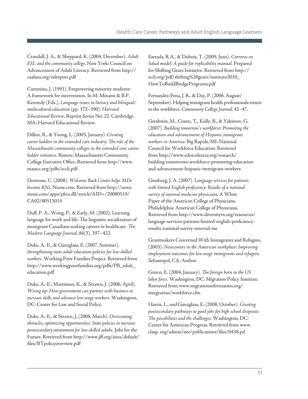<span id="page-33-0"></span>Crandall, J. A., & Sheppard, K. (2004, December). *Adult ESL and the community college*. New York: Council on Advancement of Adult Literacy. Retrieved from [http://](http://caalusa.org/eslreport.pdf) [caalusa.org/eslreport.pdf](http://caalusa.org/eslreport.pdf) 

Cummins, J. (1991). Empowering minority students: A framework for intervention. In M. Minami & B.P. Kennedy (Eds.), *Language issues in literacy and bilingual/ multicultural education* (pp. 372–390). *Harvard Educational Review,* Reprint Series No. 22. Cambridge, MA: Harvard Educational Review.

Dillon, R., & Young, L. (2003, January). *Creating career ladders in the extended care industry: The role of the Massachusetts community colleges in the extended care career ladder initiative.* Boston: Massachusetts Community College Executive Office. Retrieved from [http://www.](http://www.masscc.org/pdfs/eccli.pdf) [masscc.org/pdfs/eccli.pdf](http://www.masscc.org/pdfs/eccli.pdf) 

Domrose, C. (2008). *Welcome Back Center helps MDs become RNs*. Nurse.com. Retrieved from [http://news.](http://news.nurse.com/apps/pbcs.dll/article?AID=/20080519/CA02/80513014) [nurse.com/apps/pbcs.dll/article?AID=/20080519/](http://news.nurse.com/apps/pbcs.dll/article?AID=/20080519/CA02/80513014) [CA02/80513014](http://news.nurse.com/apps/pbcs.dll/article?AID=/20080519/CA02/80513014)

Duff, P. A., Wong, P., & Early, M. (2002). Learning language for work and life: The linguistic socialization of immigrant Canadians seeking careers in healthcare. *The Modern Language Journal, 86*(3), 397–422.

Duke, A.-E., & Ganzglass, E. (2007, Summer). *Strengthening state adult education policies for low-skilled workers.* Working Poor Families Project. Retrieved from [http://www.workingpoorfamilies.org/pdfs/PB\\_adult\\_](http://www.workingpoorfamilies.org/pdfs/PB_adult_education.pdf) [education.pdf](http://www.workingpoorfamilies.org/pdfs/PB_adult_education.pdf) 

Duke, A.-E., Martinson, K., & Strawn, J. (2006, April). *Wising up: How government can partner with business to increase skills and advance low-wage workers.* Washington, DC: Center for Law and Social Policy.

Duke, A.-E., & Strawn, J. (2008, March). *Overcoming obstacles, optimizing opportunities: State policies to increase postsecondary attainment for low-skilled adults.* Jobs for the Future. Retrieved from [http://www.jff.org/sites/default/](http://www.jff.org/sites/default/files/BTpolicyoverview.pdf)  [files/BTpolicyoverview.pdf](http://www.jff.org/sites/default/files/BTpolicyoverview.pdf) 

Estrada, R.A., & Dubois, T. (2009, June). *Carreras en Salud model: A guide for replicability manual.* Prepared for Shifting Gears Initiative. Retrieved from [http://](http://www.iccb.org/pdf/shiftinggears/Instituto2010_HowToBuildBridgePrograms.pdf) [iccb.org/pdf/shifting%20gears/instituto2010\\_](http://www.iccb.org/pdf/shiftinggears/Instituto2010_HowToBuildBridgePrograms.pdf)  [HowToBuildBridgePrograms.pdf](http://www.iccb.org/pdf/shiftinggears/Instituto2010_HowToBuildBridgePrograms.pdf)

Fernandez-Pena, J. R., & Day, P. (2006, August/ September). Helping immigrant health professionals return to the workforce. *Community College Journal*, 42–47.

Gershwin, M., Coxen, T., Kelly, B., & Yakimov, G. (2007). *Building tomorrow's workforce: Promoting the education and advancement of Hispanic immigrant workers in America*. Big Rapids, MI: National Council for Workforce Education. Retrieved from [http://www.edexcelencia.org/research/](http://www.edexcelencia.org/research/building-tomorrows-workforce-promoting-education-and-advancement-hispanic-immigrant-workers)  [building-tomorrows-workforce-promoting-education](http://www.edexcelencia.org/research/building-tomorrows-workforce-promoting-education-and-advancement-hispanic-immigrant-workers)[and-advancement-hispanic-immigrant-workers](http://www.edexcelencia.org/research/building-tomorrows-workforce-promoting-education-and-advancement-hispanic-immigrant-workers) 

Ginsburg, J. A. (2007). *Language services for patients with limited English proficiency: Results of a national survey of internal medicine physician*s. A White Paper of the American College of Physicians. Philadelphia: American College of Physicians. Retrieved from [http://www.diversityrx.org/resources/](http://www.diversityrx.org/resources/language-services-patients-limited-english-proficiency-results-national-survey-internal-me)  [language-services-patients-limited-english-proficiency](http://www.diversityrx.org/resources/language-services-patients-limited-english-proficiency-results-national-survey-internal-me)[results-national-survey-internal-me](http://www.diversityrx.org/resources/language-services-patients-limited-english-proficiency-results-national-survey-internal-me) 

Grantmakers Concerned With Immigrants and Refugees. (2003). *Newcomers in the American workplace: Improving employment outcomes for low-wage immigrants and refugee*s. Sebastopol, CA: Author.

Grieco, E. (2004, January). *The foreign born in the US labor force.* Washington, DC: Migration Policy Institute. Retrieved from [www.migrationinformation.org/](http://www.migrationpolicy.org/pubs/four_foreign_born_in_labor_force.pdf)  [integration/workforce.cfm](http://www.migrationpolicy.org/pubs/four_foreign_born_in_labor_force.pdf) 

Harris, L., and Ganzglass, E. (2008, October). *Creating postsecondary pathways to good jobs for high school dropouts: The possibilities and the challenges.* Washington, DC: Center for American Progress. Retrieved from [www.](http://www.clasp.org/admin/site/publications/files/0438.pdf)  [clasp. org/admin/site/publications/files/0438.pd](http://www.clasp.org/admin/site/publications/files/0438.pdf)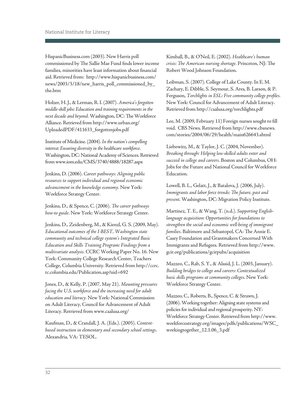HispanicBusiness.com (2003). New Harris poll commissioned by The Sallie Mae Fund finds lower income families, minorities have least information about financial aid. Retrieved from: <http://www.hispanicbusiness.com/> news/2003/3/18/new\_harris\_poll\_commissioned\_by\_ the.htm

Holzer, H. J., & Lerman, R. I. (2007). *America's forgotten middle-skill jobs: Education and training requirements in the next decade and beyond*. Washington, DC: The Workforce Alliance. Retrieved from [http://www.urban.org/](http://www.urban.org/UploadedPDF/411633_forgottenjobs.pdf)  [UploadedPDF/411633\\_forgottenjobs.pdf](http://www.urban.org/UploadedPDF/411633_forgottenjobs.pdf) 

Institute of Medicine. (2004). *In the nation's compelling interest: Ensuring diversity in the healthcare workforce*. Washington, DC: National Academy of Sciences. Retrieved from [www.iom.edu/CMS/3740/4888/18287.aspx](http://www.iom.edu/CMS/3740/4888/18287.aspx) 

Jenkins, D. (2006). *Career pathways: Aligning public resources to support individual and regional economic advancement in the knowledge economy*. New York: Workforce Strategy Center.

Jenkins, D., & Spence, C. (2006). *The career pathways how-to guide.* New York: Workforce Strategy Center.

Jenkins, D., Zeidenberg, M., & Kienzl, G. S. (2009, May). *Educational outcomes of the I-BEST, Washington state community and technical college system's Integrated Basic Education and Skills Training Program: Findings from a multivariate analysis.* CCRC Working Paper No. 16. New York: Community College Research Center, Teachers College, Columbia University. Retrieved from [http://ccrc.](http://ccrc.tc.columbia.edu/Publication.asp?uid=692) [tc.columbia.edu/Publication.asp?uid=692](http://ccrc.tc.columbia.edu/Publication.asp?uid=692) 

Jones, D., & Kelly, P. (2007, May 21). *Mounting pressures facing the U.S. workforce and the increasing need for adult education and literacy.* New York: National Commission on Adult Literacy, Council for Advancement of Adult Literacy. Retrieved from [www.caalusa.org/](http://www.caalusa.org/) 

Kaufman, D., & Crandall, J. A. (Eds.). (2005). *Contentbased instruction in elementary and secondary school settings*. Alexandria, VA: TESOL.

Kimball, B., & O'Neil, E. (2002). *Healthcare's human crisis: The American nursing shortage.* Princeton, NJ: The Robert Wood Johnson Foundation.

Leibman, S. (2007). College of Lake County. In E. M. Zachary, E. Dibble, S. Seymour, S. Ares, B. Larson, & P. Ferguson, *Torchlights in ESL: Five community college profiles.*  New York: Council for Advancement of Adult Literacy. Retrieved from<http://caalusa.org/torchlights.pdf>

Lee, M. (2009, February 11) Foreign nurses sought to fill void. CBS News. Retrieved from [http://www.cbsnews.](http://www.cbsnews.com/stories/2004/06/29/health/main626643.shtml)  [com/stories/2004/06/29/health/main626643.shtml](http://www.cbsnews.com/stories/2004/06/29/health/main626643.shtml) 

Liebowitz, M., & Taylor, J. C. (2004, November). *Breaking through: Helping low-skilled adults enter and succeed in college and careers.* Boston and Columbus, OH: Jobs for the Future and National Council for Workforce Education.

Lowell, B. L., Gelatt, J., & Batalova, J. (2006, July). *Immigrants and labor force trends: The future, past and present.* Washington, DC: Migration Policy Institute.

Martinez, T. E., & Wang, T. (n.d.). *Supporting Englishlanguage acquisition: Opportunities for foundations to strengthen the social and economic well-being of immigrant families*. Baltimore and Sebastopol, CA: The Annie E. Casey Foundation and Grantmakers Concerned With Immigrants and Refugees. Retrieved from [http://www.](http://www.gcir.org/publications/gcirpubs/acquisition) [gcir.org/publications/gcirpubs/acquisition](http://www.gcir.org/publications/gcirpubs/acquisition) 

Mazzeo, C., Rab, S. Y., & Alssid, J. L. (2003, January). *Building bridges to college and careers: Contextualized basic skills programs at community colleges*. New York: Workforce Strategy Center.

Mazzeo, C., Roberts, B., Spence, C. & Strawn, J. (2006). Working together: Aligning state systems and policies for individual and regional prosperity. NY: Workforce Strategy Center. Retrieved from [http://www.](http://www.workforcestrategy.org/images/pdfs/publications/WSC_workingtogether_12.1.06_3.pdf)  [workforcestrategy.org/images/pdfs/publications/WSC\\_](http://www.workforcestrategy.org/images/pdfs/publications/WSC_workingtogether_12.1.06_3.pdf)  [workingtogether\\_12.1.06\\_3.pdf](http://www.workforcestrategy.org/images/pdfs/publications/WSC_workingtogether_12.1.06_3.pdf)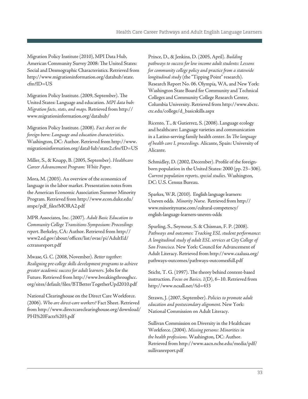Migration Policy Institute (2010), MPI Data Hub, American Community Survey 2008: The United States: Social and Desmographic Characteristics. Retrieved from [http://www.migrationinformation.org/datahub/state.](http://www.migrationinformation.org/datahub/state.cfm?ID=US)  [cfm?ID=US](http://www.migrationinformation.org/datahub/state.cfm?ID=US) 

Migration Policy Institute. (2009, September). The United States: Language and education. *MPI data hub: Migration facts, stats, and maps.* Retrieved from [http://](http://www.migrationinformation.org/datahub/)  [www.migrationinformation.org/datahub/](http://www.migrationinformation.org/datahub/) 

Migration Policy Institute. (2008). *Fact sheet on the foreign born: Language and education characteristics.*  Washington, DC: Author. Retrieved from [http://www.](http://www)  migrationinformation.org/dataHub/state2.cfm?ID=US

Miller, S., & Knapp, B. (2005, September). *Healthcare Career Advancement Program: White Paper.* 

Mora, M. (2003). An overview of the economics of language in the labor market. Presentation notes from the American Economic Association Summer Minority Program*.* Retrieved from [http://www.econ.duke.edu/](http://www.gcir.org/node/646) [smpe/pdf\\_files?MORA2.pdf](http://www.gcir.org/node/646)

MPR Associates, Inc. (2007). *Adult Basic Education to Community College Transitions Symposium: Proceedings report*. Berkeley, CA: Author. Retrieved from [http://](http://www2.ed.gov/about/offices/list/ovae/pi/AdultEd/cctransreport.pdf)  [www2.ed.gov/about/offices/list/ovae/pi/AdultEd/](http://www2.ed.gov/about/offices/list/ovae/pi/AdultEd/cctransreport.pdf)  [cctransreport.pdf](http://www2.ed.gov/about/offices/list/ovae/pi/AdultEd/cctransreport.pdf) 

Mwase, G. C. (2008, November). *Better together: Realigning pre-college skills development programs to achieve greater academic success for adult learners.* Jobs for the Future. Retrieved from [http://www.breakingthroughcc.](http://www.breakingthroughcc.org/sites/default/files/BTBetterTogetherUpd2010.pdf) [org/sites/default/files/BTBetterTogetherUpd2010.pdf](http://www.breakingthroughcc.org/sites/default/files/BTBetterTogetherUpd2010.pdf) 

National Clearinghouse on the Direct Care Workforce. (2006). *Who are direct-care workers?* Fact Sheet. Retrieved from [http://www.directcareclearinghouse.org/download/](http://www.directcareclearinghouse.org/download/PHI%20Facts%203.pdf)  [PHI%20Facts%203.pdf](http://www.directcareclearinghouse.org/download/PHI%20Facts%203.pdf) 

Prince, D., & Jenkins, D. (2005, April). *Building pathways to success for low income adult students: Lessons for community college policy and practice from a statewide longitudinal study* (the "Tipping Point" research). Research Report No. 06. Olympia, WA, and New York: Washington State Board for Community and Technical Colleges and Community College Research Center, Columbia University. Retrieved from [http://www.sbctc.](http://www.sbctc.ctc.edu/college/d_basicskills.aspx)  [ctc.edu/college/d\\_basicskills.aspx](http://www.sbctc.ctc.edu/college/d_basicskills.aspx)

Ricento, T., & Gutierrez, S. (2008). Language ecology and healthcare: Language varieties and communication in a Latino-serving family health center. In *The language of health care I, proceedings.* Alicante, Spain: University of Alicante.

 *Current population reports, special studies.* Washington, Schmidley, D. (2002, December). Profile of the foreignborn population in the United States: 2000 (pp. 23–306). DC: U.S. Census Bureau.

 Sparkes, W.R. (2010). English language learners: Uneven odds. *Minority Nurse.* Retrieved from [http://](http://www.minoritynurse.com/cultural-competency/english-language-learners-uneven-odds)  [www.minoritynurse.com/cultural-competency/](http://www.minoritynurse.com/cultural-competency/english-language-learners-uneven-odds) [english-language-learners-uneven-odds](http://www.minoritynurse.com/cultural-competency/english-language-learners-uneven-odds) 

Spurling, S., Seymour, S. & Chisman, F. P. (2008). *Pathways and outcomes: Tracking ESL student performance: A longitudinal study of adult ESL services at City College of San Francisco.* New York: Council for Advancement of Adult Literacy. Retrieved from [http://www.caalusa.org/](http://www.caalusa.org/pathways-outcomes/pathways-outcomesfull.pdf)  [pathways-outcomes/pathways-outcomesfull.pdf](http://www.caalusa.org/pathways-outcomes/pathways-outcomesfull.pdf) 

Sticht, T. G. (1997). The theory behind content-based instruction. *Focus on Basics, 1*(D), 6–10. Retrieved from <http://www.ncsall.net/?id=433>

Strawn, J. (2007, September). *Policies to promote adult education and postsecondary alignment.* New York: National Commission on Adult Literacy.

Sullivan Commission on Diversity in the Healthcare Workforce. (2004). *Missing persons: Minorities in the health professions.* Washington, DC: Author. Retrieved from [http://www.aacn.nche.edu/media/pdf/](http://www.aacn.nche.edu/media/pdf/sullivanreport.pdf)  [sullivanreport.pdf](http://www.aacn.nche.edu/media/pdf/sullivanreport.pdf)